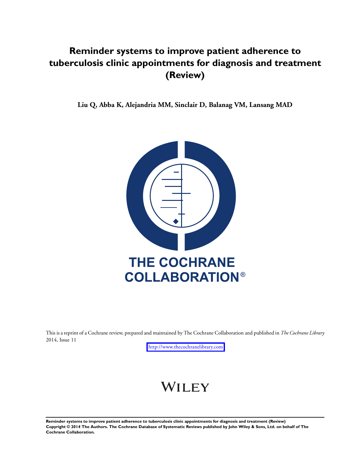# **Reminder systems to improve patient adherence to tuberculosis clinic appointments for diagnosis and treatment (Review)**

**Liu Q, Abba K, Alejandria MM, Sinclair D, Balanag VM, Lansang MAD**



This is a reprint of a Cochrane review, prepared and maintained by The Cochrane Collaboration and published in *The Cochrane Library* 2014, Issue 11

<http://www.thecochranelibrary.com>

# WILEY

**Reminder systems to improve patient adherence to tuberculosis clinic appointments for diagnosis and treatment (Review) Copyright © 2014 The Authors. The Cochrane Database of Systematic Reviews published by John Wiley & Sons, Ltd. on behalf of The Cochrane Collaboration.**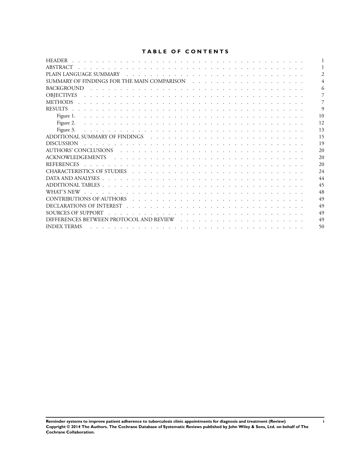# **TABLE OF CONTENTS**

| <b>HEADER</b>                                                                                                                                                                                                                                      |    |
|----------------------------------------------------------------------------------------------------------------------------------------------------------------------------------------------------------------------------------------------------|----|
| ABSTRACT                                                                                                                                                                                                                                           |    |
| PLAIN LANGUAGE SUMMARY                                                                                                                                                                                                                             |    |
|                                                                                                                                                                                                                                                    |    |
| <b>BACKGROUND</b>                                                                                                                                                                                                                                  |    |
| <b>OBIECTIVES</b>                                                                                                                                                                                                                                  |    |
| <b>METHODS</b>                                                                                                                                                                                                                                     |    |
| <b>RESULTS</b>                                                                                                                                                                                                                                     |    |
| Figure 1.                                                                                                                                                                                                                                          | 10 |
| Figure 2.                                                                                                                                                                                                                                          | 12 |
| Figure 3.                                                                                                                                                                                                                                          | 13 |
| ADDITIONAL SUMMARY OF FINDINGS                                                                                                                                                                                                                     | 15 |
| <b>DISCUSSION</b><br>the contract of the contract of the contract of the contract of the contract of the contract of the                                                                                                                           | 19 |
| AUTHORS' CONCLUSIONS                                                                                                                                                                                                                               | 20 |
| <b>ACKNOWLEDGEMENTS</b><br><u>. In the second contract of the second contract of the second contract of the second</u>                                                                                                                             | 20 |
| <b>REFERENCES</b><br>a constitution of the constitution of the constitution of the constitution of the constitution of the constitution of the constitution of the constitution of the constitution of the constitution of the constitution of the | 20 |
|                                                                                                                                                                                                                                                    | 24 |
|                                                                                                                                                                                                                                                    | 44 |
|                                                                                                                                                                                                                                                    | 45 |
|                                                                                                                                                                                                                                                    | 48 |
|                                                                                                                                                                                                                                                    | 49 |
|                                                                                                                                                                                                                                                    | 49 |
| SOURCES OF SUPPORT<br>and a series of the contract of the contract of the contract of the contract of the contract of the contract of                                                                                                              | 49 |
|                                                                                                                                                                                                                                                    | 49 |
| <b>INDEX TERMS</b>                                                                                                                                                                                                                                 | 50 |
|                                                                                                                                                                                                                                                    |    |

**Reminder systems to improve patient adherence to tuberculosis clinic appointments for diagnosis and treatment (Review) i Copyright © 2014 The Authors. The Cochrane Database of Systematic Reviews published by John Wiley & Sons, Ltd. on behalf of The Cochrane Collaboration.**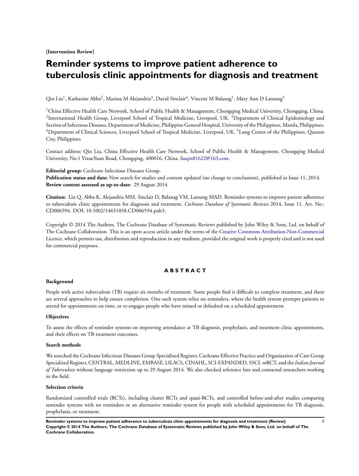**[Intervention Review]**

# **Reminder systems to improve patient adherence to tuberculosis clinic appointments for diagnosis and treatment**

Qin Liu<sup>1</sup>, Katharine Abba<sup>2</sup>, Marissa M Alejandria<sup>3</sup>, David Sinclair<sup>4</sup>, Vincent M Balanag<sup>5</sup>, Mary Ann D Lansang<sup>3</sup>

<sup>1</sup>China Effective Health Care Network, School of Public Health & Management, Chongqing Medical University, Chongqing, China. <sup>2</sup>International Health Group, Liverpool School of Tropical Medicine, Liverpool, UK. <sup>3</sup>Department of Clinical Epidemiology and Section of Infectious Diseases, Department of Medicine, Philippine General Hospital, University of the Philippines, Manila, Philippines. <sup>4</sup>Department of Clinical Sciences, Liverpool School of Tropical Medicine, Liverpool, UK. <sup>5</sup>Lung Center of the Philippines, Quezon City, Philippines

Contact address: Qin Liu, China Effective Health Care Network, School of Public Health & Management, Chongqing Medical University, No.1 YixueYuan Road, Chongqing, 400016, China. [liuqin81622@163.com](mailto:liuqin81622@163.com).

#### **Editorial group:** Cochrane Infectious Diseases Group.

**Publication status and date:** New search for studies and content updated (no change to conclusions), published in Issue 11, 2014. **Review content assessed as up-to-date:** 29 August 2014.

**Citation:** Liu Q, Abba K, Alejandria MM, Sinclair D, Balanag VM, Lansang MAD. Reminder systems to improve patient adherence to tuberculosis clinic appointments for diagnosis and treatment. *Cochrane Database of Systematic Reviews* 2014, Issue 11. Art. No.: CD006594. DOI: 10.1002/14651858.CD006594.pub3.

Copyright © 2014 The Authors. The Cochrane Database of Systematic Reviews published by John Wiley & Sons, Ltd. on behalf of The Cochrane Collaboration. This is an open access article under the terms of the [Creative Commons Attribution-Non-Commercial](http://creativecommons.org/licenses/by-nc/3.0/) Licence, which permits use, distribution and reproduction in any medium, provided the original work is properly cited and is not used for commercial purposes.

# **A B S T R A C T**

## **Background**

People with active tuberculosis (TB) require six months of treatment. Some people find it difficult to complete treatment, and there are several approaches to help ensure completion. One such system relies on reminders, where the health system prompts patients to attend for appointments on time, or re-engages people who have missed or defaulted on a scheduled appointment.

## **Objectives**

To assess the effects of reminder systems on improving attendance at TB diagnosis, prophylaxis, and treatment clinic appointments, and their effects on TB treatment outcomes.

## **Search methods**

We searched the Cochrane Infectious Diseases Group Specialized Register, Cochrane Effective Practice and Organization of Care Group Specialized Register, CENTRAL, MEDLINE, EMBASE, LILACS, CINAHL, SCI-EXPANDED, SSCI, *m*RCT, and the*Indian Journal of Tuberculosis* without language restriction up to 29 August 2014. We also checked reference lists and contacted researchers working in the field.

# **Selection criteria**

Randomized controlled trials (RCTs), including cluster RCTs and quasi-RCTs, and controlled before-and-after studies comparing reminder systems with no reminders or an alternative reminder system for people with scheduled appointments for TB diagnosis, prophylaxis, or treatment.

**Reminder systems to improve patient adherence to tuberculosis clinic appointments for diagnosis and treatment (Review) 1 Copyright © 2014 The Authors. The Cochrane Database of Systematic Reviews published by John Wiley & Sons, Ltd. on behalf of The Cochrane Collaboration.**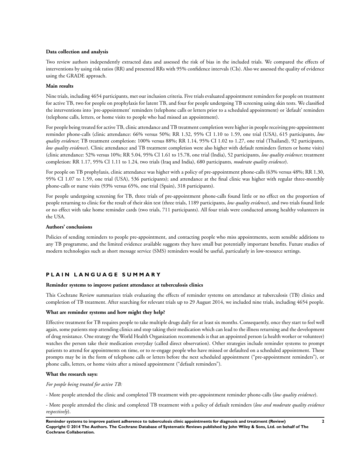## **Data collection and analysis**

Two review authors independently extracted data and assessed the risk of bias in the included trials. We compared the effects of interventions by using risk ratios (RR) and presented RRs with 95% confidence intervals (CIs). Also we assessed the quality of evidence using the GRADE approach.

# **Main results**

Nine trials, including 4654 participants, met our inclusion criteria. Five trials evaluated appointment reminders for people on treatment for active TB, two for people on prophylaxis for latent TB, and four for people undergoing TB screening using skin tests. We classified the interventions into 'pre-appointment' reminders (telephone calls or letters prior to a scheduled appointment) or 'default' reminders (telephone calls, letters, or home visits to people who had missed an appointment).

For people being treated for active TB, clinic attendance and TB treatment completion were higher in people receiving pre-appointment reminder phone-calls (clinic attendance: 66% versus 50%; RR 1.32, 95% CI 1.10 to 1.59, one trial (USA), 615 participants, *low quality evidence*; TB treatment completion: 100% versus 88%; RR 1.14, 95% CI 1.02 to 1.27, one trial (Thailand), 92 participants, *low quality evidence*). Clinic attendance and TB treatment completion were also higher with default reminders (letters or home visits) (clinic attendance: 52% versus 10%; RR 5.04, 95% CI 1.61 to 15.78, one trial (India), 52 participants, *low quality evidence*; treatment completion: RR 1.17, 95% CI 1.11 to 1.24, two trials (Iraq and India), 680 participants, *moderate quality evidence*).

For people on TB prophylaxis, clinic attendance was higher with a policy of pre-appointment phone-calls (63% versus 48%; RR 1.30, 95% CI 1.07 to 1.59, one trial (USA), 536 participants); and attendance at the final clinic was higher with regular three-monthly phone-calls or nurse visits (93% versus 65%, one trial (Spain), 318 participants).

For people undergoing screening for TB, three trials of pre-appointment phone-calls found little or no effect on the proportion of people returning to clinic for the result of their skin test (three trials, 1189 participants, *low quality evidence*), and two trials found little or no effect with take home reminder cards (two trials, 711 participants). All four trials were conducted among healthy volunteers in the USA.

#### **Authors' conclusions**

Policies of sending reminders to people pre-appointment, and contacting people who miss appointments, seem sensible additions to any TB programme, and the limited evidence available suggests they have small but potentially important benefits. Future studies of modern technologies such as short message service (SMS) reminders would be useful, particularly in low-resource settings.

# **P L A I N L A N G U A G E S U M M A R Y**

## **Reminder systems to improve patient attendance at tuberculosis clinics**

This Cochrane Review summarizes trials evaluating the effects of reminder systems on attendance at tuberculosis (TB) clinics and completion of TB treatment. After searching for relevant trials up to 29 August 2014, we included nine trials, including 4654 people.

## **What are reminder systems and how might they help?**

Effective treatment for TB requires people to take multiple drugs daily for at least six months. Consequently, once they start to feel well again, some patients stop attending clinics and stop taking their medication which can lead to the illness returning and the development of drug resistance. One strategy the World Health Organization recommends is that an appointed person (a health worker or volunteer) watches the person take their medication everyday (called direct observation). Other strategies include reminder systems to prompt patients to attend for appointments on time, or to re-engage people who have missed or defaulted on a scheduled appointment. These prompts may be in the form of telephone calls or letters before the next scheduled appointment ("pre-appointment reminders"), or phone calls, letters, or home visits after a missed appointment ("default reminders").

## **What the research says:**

*For people being treated for active TB:*

- More people attended the clinic and completed TB treatment with pre-appointment reminder phone-calls (*low quality evidence*).

- More people attended the clinic and completed TB treatment with a policy of default reminders (*low and moderate quality evidence respectively*).

**Reminder systems to improve patient adherence to tuberculosis clinic appointments for diagnosis and treatment (Review) 2 Copyright © 2014 The Authors. The Cochrane Database of Systematic Reviews published by John Wiley & Sons, Ltd. on behalf of The Cochrane Collaboration.**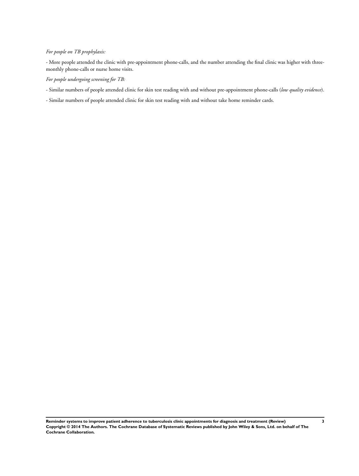# *For people on TB prophylaxis:*

- More people attended the clinic with pre-appointment phone-calls, and the number attending the final clinic was higher with threemonthly phone-calls or nurse home visits.

# *For people undergoing screening for TB:*

- Similar numbers of people attended clinic for skin test reading with and without pre-appointment phone-calls (*low quality evidence*).
- Similar numbers of people attended clinic for skin test reading with and without take home reminder cards.

**Reminder systems to improve patient adherence to tuberculosis clinic appointments for diagnosis and treatment (Review) 3 Copyright © 2014 The Authors. The Cochrane Database of Systematic Reviews published by John Wiley & Sons, Ltd. on behalf of The Cochrane Collaboration.**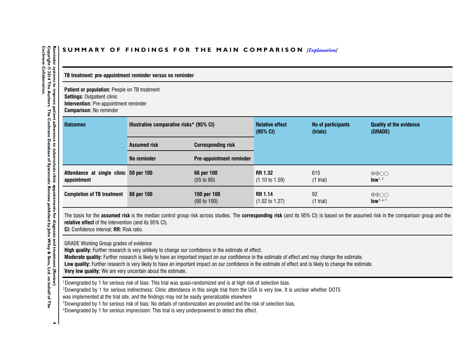# <span id="page-5-0"></span>SUMMARY OF FINDINGS FOR THE MAIN COMPARISON *[\[Explanation\]](http://www.thecochranelibrary.com/view/0/SummaryFindings.html)*

## **TB treatment: pre-appointment reminder versus no reminder**

**Patient or population:** People on TB treatment **Settings:** Outpatient clinic

**Intervention:** Pre-appointment reminder

**Comparison:** No reminder

| <b>Outcomes</b>                                       | Illustrative comparative risks* (95% CI) |                                       | <b>Relative effect</b><br>(95% CI)          | No of participants<br>(trials) | <b>Quality of the evidence</b><br>(GRADE)         |
|-------------------------------------------------------|------------------------------------------|---------------------------------------|---------------------------------------------|--------------------------------|---------------------------------------------------|
|                                                       | <b>Assumed risk</b>                      | <b>Corresponding risk</b>             |                                             |                                |                                                   |
|                                                       | No reminder                              | Pre-appointment reminder              |                                             |                                |                                                   |
| Attendance at single clinic 50 per 100<br>appointment |                                          | 66 per 100<br>$(55 \text{ to } 80)$   | <b>RR 1.32</b><br>$(1.10 \text{ to } 1.59)$ | 615<br>$(1 \text{ trial})$     | $\oplus \oplus \odot \odot$<br>low <sup>1,2</sup> |
| <b>Completion of TB treatment</b>                     | 88 per 100                               | 100 per 100<br>$(90 \text{ to } 100)$ | <b>RR 1.14</b><br>$(1.02 \text{ to } 1.27)$ | 92<br>$(1 \text{ trial})$      | $\oplus \oplus \odot \odot$<br>$low^{3,4,5}$      |

The basis for the **assumed risk** is the median control group risk across studies. The **corresponding risk** (and its 95% CI) is based on the assumed risk in the comparison group and the **relative effect** of the intervention (and its 95% CI).

**CI:** Confidence interval; **RR:** Risk ratio.

GRADE Working Group grades of evidence

**High quality:** Further research is very unlikely to change our confidence in the estimate of effect.

**Moderate quality:** Further research is likely to have an important impact on our confidence in the estimate of effect and may change the estimate.

Low quality: Further research is very likely to have an important impact on our confidence in the estimate of effect and is likely to change the estimate.

**Very low quality:** We are very uncertain about the estimate.

<sup>1</sup>Downgraded by 1 for serious risk of bias: This trial was quasi-randomized and is at high risk of selection bias.

<sup>2</sup>Downgraded by 1 for serious indirectness: Clinic attendance in this single trial from the USA is very low. It is unclear whether DOTS

was implemented at the trial site, and the findings may not be easily generalizable elsewhere

<sup>3</sup>Downgraded by <sup>1</sup> for serious risk of bias: No details of randomization are provided and the risk of selection bias.

<sup>4</sup>Downgraded by 1 for serious imprecision: This trial is very underpowered to detect this effect.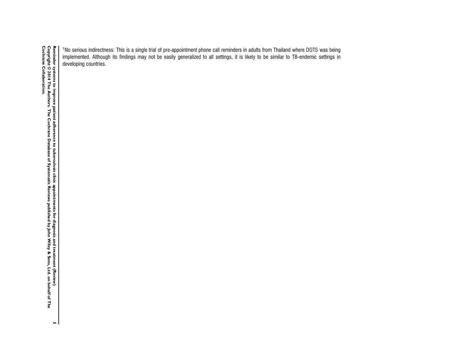# $^5$ No serious indirectness: This is a single trial of pre-appointment phone call reminders in adults from Thailand where DOTS was being implemented. Although its findings may not be easily generalized to all settings, it is likely to be similar to TB-endemic settings in developing countries.

Reminder systems to improve patient adherence to tuberculosis clinic appointments for diagnosis and treatment (Review)<br>Copyright © 2014 The Authors. The Cochrane Database of Systematic Reviews published by John Wiley & So **Cochrane Collaboration.Copyright © 2014 The Authors. The Cochrane Database of Systematic Reviews published by John Wiley & Sons, Ltd. on behalf of The 5 Reminder systems to improve patient adherence to tuberculosis clinic appointments for diagnosis and treatment (Review)**

 $\mathbf{u}$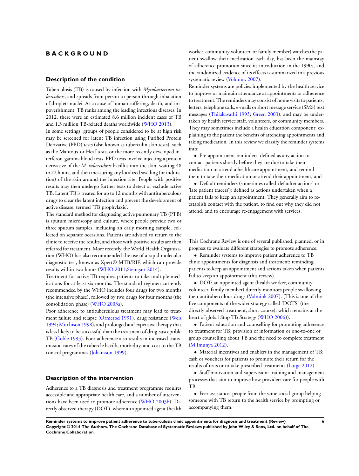# **B A C K G R O U N D**

## **Description of the condition**

Tuberculosis (TB) is caused by infection with *Mycobacterium tuberculosis*, and spreads from person to person through inhalation of droplets nuclei. As a cause of human suffering, death, and impoverishment, TB ranks among the leading infectious diseases. In 2012, there were an estimated 8.6 million incident cases of TB and 1.3 million TB-related deaths worldwide [\(WHO 2013](#page-21-0)).

In some settings, groups of people considered to be at high risk may be screened for latent TB infection using Purified Protein Derivative (PPD) tests (also known as tuberculin skin tests), such as the Mantoux or Heaf tests, or the more recently developed interferon-gamma blood tests. PPD tests involve injecting a protein derivative of the *M. tuberculosis* bacillus into the skin, waiting 48 to 72 hours, and then measuring any localized swelling (or induration) of the skin around the injection site. People with positive results may then undergo further tests to detect or exclude active TB. Latent TB is treated for up to 12 months with antituberculous drugs to clear the latent infection and prevent the development of active disease; termed 'TB prophylaxis'.

The standard method for diagnosing active pulmonary TB (PTB) is sputum microscopy and culture, where people provide two or three sputum samples, including an early morning sample, collected on separate occasions. Patients are advised to return to the clinic to receive the results, and those with positive results are then referred for treatment. More recently, the World Health Organization (WHO) has also recommended the use of a rapid molecular diagnostic test, known as Xpert® MTB/RIF, which can provide results within two hours (WHO 2011; Steingart 2014).

Treatment for active TB requires patients to take multiple medications for at least six months. The standard regimen currently recommended by the WHO includes four drugs for two months (the intensive phase), followed by two drugs for four months (the consolidation phase) ([WHO 2003a\)](#page-21-0).

Poor adherence to antituberculous treatment may lead to treatment failure and relapse [\(Ormerod 1991](#page-21-0)), drug resistance ([Weis](#page-21-0) [1994](#page-21-0); [Mitchison 1998](#page-21-0)), and prolonged and expensive therapy that is less likely to be successful than the treatment of drug-susceptible TB ([Goble 1993\)](#page-21-0). Poor adherence also results in increased transmission rates of the tubercle bacilli, morbidity, and cost to the TB control programmes ([Johansson 1999](#page-21-0)).

## **Description of the intervention**

Adherence to a TB diagnosis and treatment programme requires accessible and appropriate health care, and a number of interventions have been used to promote adherence [\(WHO 2003b](#page-21-0)). Directly observed therapy (DOT), where an appointed agent (health worker, community volunteer, or family member) watches the patient swallow their medication each day, has been the mainstay of adherence promotion since its introduction in the 1990s, and the randomized evidence of its effects is summarized in a previous systematic review [\(Volmink 2007\)](#page-21-0).

Reminder systems are policies implemented by the health service to improve or maintain attendance at appointments or adherence to treatment. The reminders may consist of home visits to patients, letters, telephone calls, e-mails or short message service (SMS) text messages ([Thilakavathi 1993;](#page-21-0) [Green 2003](#page-21-0)), and may be undertaken by health service staff, volunteers, or community members. They may sometimes include a health education component; explaining to the patient the benefits of attending appointments and taking medication. In this review we classify the reminder systems into:

• Pre-appointment reminders; defined as any action to contact patients shortly before they are due to take their medication or attend a healthcare appointment, and remind them to take their medication or attend their appointment, and

• Default reminders (sometimes called 'defaulter actions' or 'late patient tracers'); defined as actions undertaken when a patient fails to keep an appointment. They generally aim to reestablish contact with the patient, to find out why they did not attend, and to encourage re-engagement with services.

This Cochrane Review is one of several published, planned, or in progress to evaluate different strategies to promote adherence:

• Reminder systems to improve patient adherence to TB clinic appointments for diagnosis and treatment: reminding patients to keep an appointment and actions taken when patients fail to keep an appointment (this review).

• DOT: an appointed agent (health worker, community volunteer, family member) directly monitors people swallowing their antituberculous drugs [\(Volmink 2007\)](#page-21-0). (This is one of the five components of the wider strategy called 'DOTS' (the directly observed treatment, short course), which remains at the heart of global Stop TB Strategy [\(WHO 2006\)](#page-21-0)).

• Patient education and counselling for promoting adherence to treatment for TB: provision of information or one-to-one or group counselling about TB and the need to complete treatment [\(M'Imunya 2012\)](#page-21-0).

• Material incentives and enablers in the management of TB: cash or vouchers for patients to promote their return for the results of tests or to take prescribed treatments ([Lutge 2012\)](#page-21-0).

• Staff motivation and supervision: training and management processes that aim to improve how providers care for people with TB.

• Peer assistance: people from the same social group helping someone with TB return to the health service by prompting or accompanying them.

**Reminder systems to improve patient adherence to tuberculosis clinic appointments for diagnosis and treatment (Review) 6 Copyright © 2014 The Authors. The Cochrane Database of Systematic Reviews published by John Wiley & Sons, Ltd. on behalf of The Cochrane Collaboration.**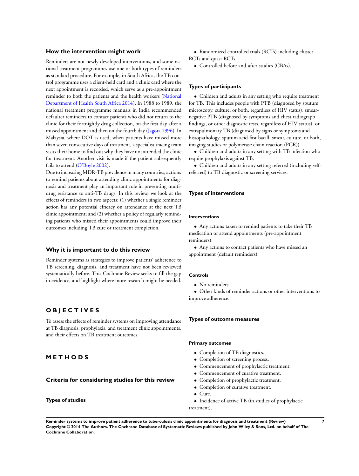## **How the intervention might work**

Reminders are not newly developed interventions, and some national treatment programmes use one or both types of reminders as standard procedure. For example, in South Africa, the TB control programme uses a client-held card and a clinic card where the next appointment is recorded, which serve as a pre-appointment reminder to both the patients and the health workers ([National](#page-21-0) [Department of Health South Africa 2014\)](#page-21-0). In 1988 to 1989, the national treatment programme manuals in India recommended defaulter reminders to contact patients who did not return to the clinic for their fortnightly drug collection, on the first day after a missed appointment and then on the fourth day [\(Jagota 1996\)](#page-21-0). In Malaysia, where DOT is used, when patients have missed more than seven consecutive days of treatment, a specialist tracing team visits their home to find out why they have not attended the clinic for treatment. Another visit is made if the patient subsequently fails to attend ([O'Boyle 2002\)](#page-21-0).

Due to increasing MDR-TB prevalence in many countries, actions to remind patients about attending clinic appointments for diagnosis and treatment play an important role in preventing multidrug resistance to anti-TB drugs. In this review, we look at the effects of reminders in two aspects: (1) whether a single reminder action has any potential efficacy on attendance at the next TB clinic appointment; and (2) whether a policy of regularly reminding patients who missed their appointments could improve their outcomes including TB cure or treatment completion.

#### **Why it is important to do this review**

Reminder systems as strategies to improve patients' adherence to TB screening, diagnosis, and treatment have not been reviewed systematically before. This Cochrane Review seeks to fill the gap in evidence, and highlight where more research might be needed.

# **O B J E C T I V E S**

To assess the effects of reminder systems on improving attendance at TB diagnosis, prophylaxis, and treatment clinic appointments, and their effects on TB treatment outcomes.

# **M E T H O D S**

# **Criteria for considering studies for this review**

# **Types of studies**

• Randomized controlled trials (RCTs) including cluster RCTs and quasi-RCTs.

• Controlled before-and-after studies (CBAs).

#### **Types of participants**

• Children and adults in any setting who require treatment for TB. This includes people with PTB (diagnosed by sputum microscopy, culture, or both, regardless of HIV status), smearnegative PTB (diagnosed by symptoms and chest radiograph findings, or other diagnostic tests, regardless of HIV status), or extrapulmonary TB (diagnosed by signs or symptoms and histopathology, sputum acid-fast bacilli smear, culture, or both, imaging studies or polymerase chain reaction (PCR)).

• Children and adults in any setting with TB infection who require prophylaxis against TB.

• Children and adults in any setting referred (including selfreferred) to TB diagnostic or screening services.

#### **Types of interventions**

#### **Interventions**

• Any actions taken to remind patients to take their TB medication or attend appointments (pre-appointment reminders).

• Any actions to contact patients who have missed an appointment (default reminders).

## **Controls**

• No reminders

• Other kinds of reminder actions or other interventions to improve adherence.

#### **Types of outcome measures**

#### **Primary outcomes**

- Completion of TB diagnostics.
- Completion of screening process.
- Commencement of prophylactic treatment.
- Commencement of curative treatment.
- Completion of prophylactic treatment.
- Completion of curative treatment.
- Cure.
- Incidence of active TB (in studies of prophylactic
- treatment).

**Reminder systems to improve patient adherence to tuberculosis clinic appointments for diagnosis and treatment (Review) 7 Copyright © 2014 The Authors. The Cochrane Database of Systematic Reviews published by John Wiley & Sons, Ltd. on behalf of The Cochrane Collaboration.**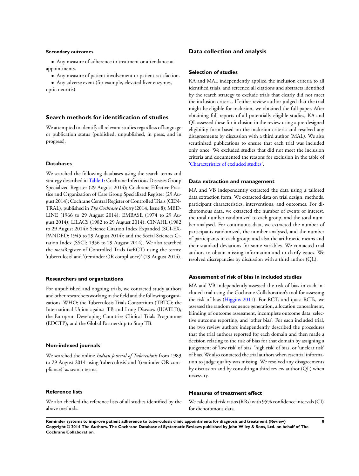#### **Secondary outcomes**

• Any measure of adherence to treatment or attendance at appointments.

• Any measure of patient involvement or patient satisfaction.

• Any adverse event (for example, elevated liver enzymes, optic neuritis).

# **Search methods for identification of studies**

We attempted to identify all relevant studies regardless of language or publication status (published, unpublished, in press, and in progress).

# **Databases**

We searched the following databases using the search terms and strategy described in [Table 1](#page-46-0): Cochrane Infectious Diseases Group Specialized Register (29 August 2014); Cochrane Effective Practice and Organization of Care Group Specialized Register (29 August 2014); Cochrane Central Register of Controlled Trials (CEN-TRAL), published in *The Cochrane Library*(2014, Issue 8); MED-LINE (1966 to 29 August 2014); EMBASE (1974 to 29 August 2014); LILACS (1982 to 29 August 2014); CINAHL (1982 to 29 August 2014); Science Citation Index Expanded (SCI-EX-PANDED; 1945 to 29 August 2014); and the Social Sciences Citation Index (SSCI; 1956 to 29 August 2014). We also searched the *meta*Register of Controlled Trials (*m*RCT) using the terms: 'tuberculosis' and '(reminder OR compliance)' (29 August 2014).

#### **Researchers and organizations**

For unpublished and ongoing trials, we contacted study authors and other researchers working in the field and the following organizations: WHO; the Tuberculosis Trials Consortium (TBTC); the International Union against TB and Lung Diseases (IUATLD); the European Developing Countries Clinical Trials Programme (EDCTP); and the Global Partnership to Stop TB.

#### **Non-indexed journals**

We searched the online *Indian Journal of Tuberculosis* from 1983 to 29 August 2014 using 'tuberculosis' and '(reminder OR compliance)' as search terms.

## **Reference lists**

We also checked the reference lists of all studies identified by the above methods.

# **Data collection and analysis**

#### **Selection of studies**

KA and MAL independently applied the inclusion criteria to all identified trials, and screened all citations and abstracts identified by the search strategy to exclude trials that clearly did not meet the inclusion criteria. If either review author judged that the trial might be eligible for inclusion, we obtained the full paper. After obtaining full reports of all potentially eligible studies, KA and QL assessed these for inclusion in the review using a pre-designed eligibility form based on the inclusion criteria and resolved any disagreements by discussion with a third author (MAL). We also scrutinized publications to ensure that each trial was included only once. We excluded studies that did not meet the inclusion criteria and documented the reasons for exclusion in the table of ['Characteristics of excluded studies](#page-36-0)'.

#### **Data extraction and management**

MA and VB independently extracted the data using a tailored data extraction form. We extracted data on trial design, methods, participant characteristics, interventions, and outcomes. For dichotomous data, we extracted the number of events of interest, the total number randomized to each group, and the total number analysed. For continuous data, we extracted the number of participants randomized, the number analysed, and the number of participants in each group; and also the arithmetic means and their standard deviations for some variables. We contacted trial authors to obtain missing information and to clarify issues. We resolved discrepancies by discussion with a third author (QL).

#### **Assessment of risk of bias in included studies**

MA and VB independently assessed the risk of bias in each included trial using the Cochrane Collaboration's tool for assessing the risk of bias [\(Higgins 2011\)](#page-21-0). For RCTs and quasi-RCTs, we assessed the random sequence generation, allocation concealment, blinding of outcome assessment, incomplete outcome data, selective outcome reporting, and 'other bias'. For each included trial, the two review authors independently described the procedures that the trial authors reported for each domain and then made a decision relating to the risk of bias for that domain by assigning a judgement of 'low risk' of bias, 'high risk' of bias, or 'unclear risk' of bias. We also contacted the trial authors when essential information to judge quality was missing. We resolved any disagreements by discussion and by consulting a third review author (QL) when necessary.

## **Measures of treatment effect**

We calculated risk ratios (RRs) with 95% confidence intervals (CI) for dichotomous data.

**Reminder systems to improve patient adherence to tuberculosis clinic appointments for diagnosis and treatment (Review) 8 Copyright © 2014 The Authors. The Cochrane Database of Systematic Reviews published by John Wiley & Sons, Ltd. on behalf of The Cochrane Collaboration.**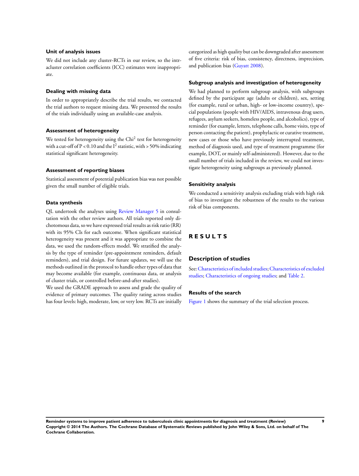# **Unit of analysis issues**

We did not include any cluster-RCTs in our review, so the intracluster correlation coefficients (ICC) estimates were inappropriate.

## **Dealing with missing data**

In order to appropriately describe the trial results, we contacted the trial authors to request missing data. We presented the results of the trials individually using an available-case analysis.

## **Assessment of heterogeneity**

We tested for heterogeneity using the Chi<sup>2</sup> test for heterogeneity with a cut-off of P < 0.10 and the I<sup>2</sup> statistic, with > 50% indicating statistical significant heterogeneity.

## **Assessment of reporting biases**

Statistical assessment of potential publication bias was not possible given the small number of eligible trials.

# **Data synthesis**

QL undertook the analyses using [Review Manager 5](#page-21-0) in consultation with the other review authors. All trials reported only dichotomous data, so we have expressed trial results as risk ratio (RR) with its 95% CIs for each outcome. When significant statistical heterogeneity was present and it was appropriate to combine the data, we used the random-effects model. We stratified the analysis by the type of reminder (pre-appointment reminders, default reminders), and trial design. For future updates, we will use the methods outlined in the protocol to handle other types of data that may become available (for example, continuous data, or analysis of cluster trials, or controlled before-and-after studies).

We used the GRADE approach to assess and grade the quality of evidence of primary outcomes. The quality rating across studies has four levels: high, moderate, low, or very low. RCTs are initially

categorized as high quality but can be downgraded after assessment of five criteria: risk of bias, consistency, directness, imprecision, and publication bias ([Guyatt 2008](#page-21-0)).

## **Subgroup analysis and investigation of heterogeneity**

We had planned to perform subgroup analysis, with subgroups defined by the participant age (adults or children), sex, setting (for example, rural or urban, high- or low-income country), special populations (people with HIV/AIDS, intravenous drug users, refugees, asylum seekers, homeless people, and alcoholics), type of reminder (for example, letters, telephone calls, home visits, type of person contacting the patient), prophylactic or curative treatment, new cases or those who have previously interrupted treatment, method of diagnosis used, and type of treatment programme (for example, DOT, or mainly self-administered). However, due to the small number of trials included in the review, we could not investigate heterogeneity using subgroups as previously planned.

#### **Sensitivity analysis**

We conducted a sensitivity analysis excluding trials with high risk of bias to investigate the robustness of the results to the various risk of bias components.

# **R E S U L T S**

# **Description of studies**

See:[Characteristics of included studies;](#page-26-0)[Characteristics of excluded](#page-36-0) [studies;](#page-36-0) [Characteristics of ongoing studies](#page-37-0); and [Table 2](#page-48-0).

#### **Results of the search**

[Figure 1](#page-11-0) shows the summary of the trial selection process.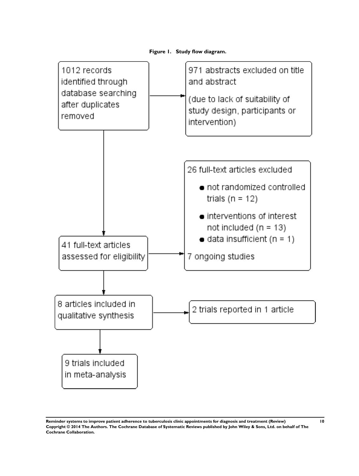<span id="page-11-0"></span>

**Reminder systems to improve patient adherence to tuberculosis clinic appointments for diagnosis and treatment (Review) 10 Copyright © 2014 The Authors. The Cochrane Database of Systematic Reviews published by John Wiley & Sons, Ltd. on behalf of The Cochrane Collaboration.**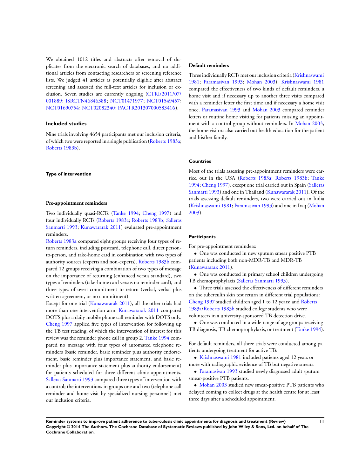We obtained 1012 titles and abstracts after removal of duplicates from the electronic search of databases, and no additional articles from contacting researchers or screening reference lists. We judged 41 articles as potentially eligible after abstract screening and assessed the full-text articles for inclusion or exclusion. Seven studies are currently ongoing [\(CTRI/2011/07/](#page-21-0) [001889](#page-21-0); [ISRCTN46846388](#page-21-0); [NCT01471977;](#page-21-0) [NCT01549457;](#page-21-0) [NCT01690754](#page-21-0); [NCT02082340](#page-21-0); [PACTR201307000583416](#page-21-0)).

#### **Included studies**

Nine trials involving 4654 participants met our inclusion criteria, of which two were reported in a single publication [\(Roberts 1983a;](#page-21-0) [Roberts 1983b\)](#page-21-0).

#### **Type of intervention**

# **Pre-appointment reminders**

Two individually quasi-RCTs [\(Tanke 1994;](#page-21-0) [Cheng 1997\)](#page-21-0) and four individually RCTs ([Roberts 1983a;](#page-21-0) [Roberts 1983b;](#page-21-0) [Salleras](#page-21-0) [Sanmarti 1993;](#page-21-0) [Kunawararak 2011\)](#page-21-0) evaluated pre-appointment reminders.

[Roberts 1983a](#page-21-0) compared eight groups receiving four types of return reminders, including postcard, telephone call, direct personto-person, and take-home card in combination with two types of authority sources (experts and non-experts). [Roberts 1983b](#page-21-0) compared 12 groups receiving a combination of two types of message on the importance of returning (enhanced versus standard), two types of reminders (take-home card versus no reminder card), and three types of overt commitment to return (verbal, verbal plus written agreement, or no commitment).

Except for one trial ([Kunawararak 2011](#page-21-0)), all the other trials had more than one intervention arm. [Kunawararak 2011](#page-21-0) compared DOTS plus a daily mobile phone call reminder with DOTS only. [Cheng 1997](#page-21-0) applied five types of intervention for following up the TB test reading, of which the intervention of interest for this review was the reminder phone call in group 2. [Tanke 1994](#page-21-0) compared no message with four types of automated telephone reminders (basic reminder, basic reminder plus authority endorsement, basic reminder plus importance statement, and basic reminder plus importance statement plus authority endorsement) for patients scheduled for three different clinic appointments. [Salleras Sanmarti 1993](#page-21-0) compared three types of intervention with a control; the interventions in groups one and two (telephone call reminder and home visit by specialized nursing personnel) met our inclusion criteria.

## **Default reminders**

Three individually RCTs met our inclusion criteria [\(Krishnaswami](#page-21-0) [1981](#page-21-0); [Paramasivan 1993](#page-21-0); [Mohan 2003](#page-21-0)). [Krishnaswami 1981](#page-21-0) compared the effectiveness of two kinds of default reminders, a home visit and if necessary up to another three visits compared with a reminder letter the first time and if necessary a home visit once. [Paramasivan 1993](#page-21-0) and [Mohan 2003](#page-21-0) compared reminder letters or routine home visiting for patients missing an appointment with a control group without reminders. In [Mohan 2003,](#page-21-0) the home visitors also carried out health education for the patient and his/her family.

#### **Countries**

Most of the trials assessing pre-appointment reminders were carried out in the USA [\(Roberts 1983a](#page-21-0); [Roberts 1983b](#page-21-0); [Tanke](#page-21-0) [1994](#page-21-0); [Cheng 1997\)](#page-21-0), except one trial carried out in Spain ([Salleras](#page-21-0) [Sanmarti 1993](#page-21-0)) and one in Thailand [\(Kunawararak 2011\)](#page-21-0). Of the trials assessing default reminders, two were carried out in India [\(Krishnaswami 1981;](#page-21-0) [Paramasivan 1993\)](#page-21-0) and one in Iraq ([Mohan](#page-21-0) [2003](#page-21-0)).

#### **Participants**

For pre-appointment reminders:

• One was conducted in new sputum smear positive PTB patients including both non-MDR-TB and MDR-TB [\(Kunawararak 2011](#page-21-0)).

• One was conducted in primary school children undergoing TB chemoprophylaxis [\(Salleras Sanmarti 1993\)](#page-21-0).

• Three trials assessed the effectiveness of different reminders on the tuberculin skin test return in different trial populations: [Cheng 1997](#page-21-0) studied children aged 1 to 12 years; and [Roberts](#page-21-0) [1983a/Roberts 1983b](#page-21-0) studied college students who were volunteers in a university-sponsored TB detection drive.

• One was conducted in a wide range of age groups receiving TB diagnosis, TB chemoprophylaxis, or treatment ([Tanke 1994](#page-21-0)).

For default reminders, all three trials were conducted among patients undergoing treatment for active TB:

• [Krishnaswami 1981](#page-21-0) included patients aged 12 years or more with radiographic evidence of TB but negative smears.

• [Paramasivan 1993](#page-21-0) studied newly diagnosed adult sputum smear-positive PTB patients.

• [Mohan 2003](#page-21-0) studied new smear-positive PTB patients who delayed coming to collect drugs at the health centre for at least three days after a scheduled appointment.

**Reminder systems to improve patient adherence to tuberculosis clinic appointments for diagnosis and treatment (Review) 11 Copyright © 2014 The Authors. The Cochrane Database of Systematic Reviews published by John Wiley & Sons, Ltd. on behalf of The Cochrane Collaboration.**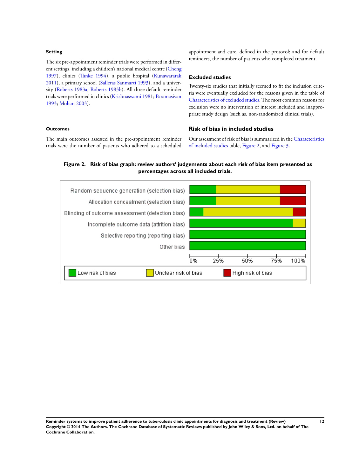#### **Setting**

The six pre-appointment reminder trials were performed in different settings, including a children's national medical centre [\(Cheng](#page-21-0) [1997](#page-21-0)), clinics ([Tanke 1994\)](#page-21-0), a public hospital [\(Kunawararak](#page-21-0) [2011](#page-21-0)), a primary school [\(Salleras Sanmarti 1993\)](#page-21-0), and a university ([Roberts 1983a;](#page-21-0) [Roberts 1983b\)](#page-21-0). All three default reminder trials were performed in clinics [\(Krishnaswami 1981](#page-21-0); [Paramasivan](#page-21-0) [1993](#page-21-0); [Mohan 2003](#page-21-0)).

appointment and cure, defined in the protocol; and for default reminders, the number of patients who completed treatment.

#### **Excluded studies**

Twenty-six studies that initially seemed to fit the inclusion criteria were eventually excluded for the reasons given in the table of [Characteristics of excluded studies](#page-36-0). The most common reasons for exclusion were no intervention of interest included and inappropriate study design (such as, non-randomized clinical trials).

## **Outcomes**

The main outcomes assessed in the pre-appointment reminder trials were the number of patients who adhered to a scheduled

Our assessment of risk of bias is summarized in the [Characteristics](#page-26-0) [of included studies](#page-26-0) table, Figure 2, and [Figure 3](#page-14-0).

**Risk of bias in included studies**



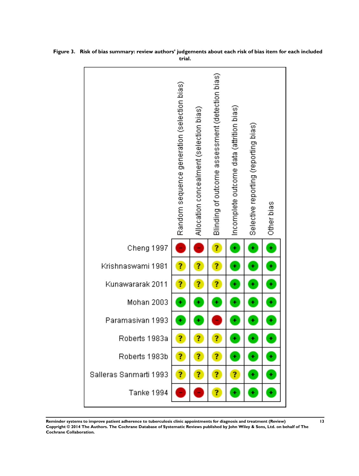

<span id="page-14-0"></span>**Figure 3. Risk of bias summary: review authors' judgements about each risk of bias item for each included trial.**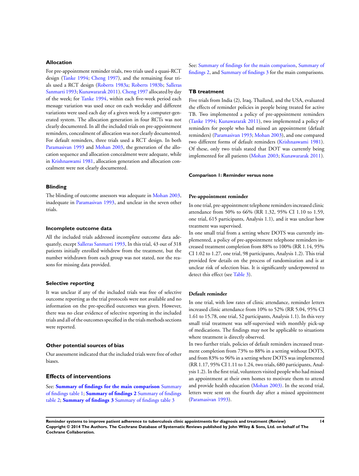# **Allocation**

For pre-appointment reminder trials, two trials used a quasi-RCT design [\(Tanke 1994;](#page-21-0) [Cheng 1997](#page-21-0)), and the remaining four trials used a RCT design ([Roberts 1983a](#page-21-0); [Roberts 1983b;](#page-21-0) [Salleras](#page-21-0) [Sanmarti 1993](#page-21-0); [Kunawararak 2011](#page-21-0)). [Cheng 1997](#page-21-0) allocated by day of the week; for [Tanke 1994,](#page-21-0) within each five-week period each message variation was used once on each weekday and different variations were used each day of a given week by a computer-generated system. The allocation generation in four RCTs was not clearly documented. In all the included trials on pre-appointment reminders, concealment of allocation was not clearly documented. For default reminders, three trials used a RCT design. In both [Paramasivan 1993](#page-21-0) and [Mohan 2003](#page-21-0), the generation of the allocation sequence and allocation concealment were adequate, while in [Krishnaswami 1981,](#page-21-0) allocation generation and allocation concealment were not clearly documented.

#### **Blinding**

The blinding of outcome assessors was adequate in [Mohan 2003,](#page-21-0) inadequate in [Paramasivan 1993,](#page-21-0) and unclear in the seven other trials.

#### **Incomplete outcome data**

All the included trials addressed incomplete outcome data adequately, except [Salleras Sanmarti 1993,](#page-21-0) In this trial, 43 out of 318 patients initially enrolled withdrew from the treatment, but the number withdrawn from each group was not stated, nor the reasons for missing data provided.

#### **Selective reporting**

It was unclear if any of the included trials was free of selective outcome reporting as the trial protocols were not available and no information on the pre-specified outcomes was given. However, there was no clear evidence of selective reporting in the included trials and all of the outcomes specified in the trials methods sections were reported.

#### **Other potential sources of bias**

Our assessment indicated that the included trials were free of other biases.

# **Effects of interventions**

See: **[Summary of findings for the main comparison](#page-5-0)** [Summary](#page-5-0) [of findings table 1](#page-5-0); **[Summary of findings 2](#page-17-0)** [Summary of findings](#page-17-0) [table 2;](#page-17-0) **[Summary of findings 3](#page-19-0)** [Summary of findings table 3](#page-19-0)

See: [Summary of findings for the main comparison,](#page-5-0) [Summary of](#page-17-0) [findings 2,](#page-17-0) and [Summary of findings 3](#page-19-0) for the main comparisons.

#### **TB treatment**

Five trials from India (2), Iraq, Thailand, and the USA, evaluated the effects of reminder policies in people being treated for active TB. Two implemented a policy of pre-appointment reminders [\(Tanke 1994;](#page-21-0) [Kunawararak 2011](#page-21-0)), two implemented a policy of reminders for people who had missed an appointment (default reminders) [\(Paramasivan 1993](#page-21-0); [Mohan 2003\)](#page-21-0), and one compared two different forms of default reminders ([Krishnaswami 1981](#page-21-0)). Of these, only two trials stated that DOT was currently being implemented for all patients [\(Mohan 2003](#page-21-0); [Kunawararak 2011\)](#page-21-0).

#### **Comparison 1: Reminder versus none**

#### **Pre-appointment reminder**

In one trial, pre-appointment telephone reminders increased clinic attendance from 50% to 66% (RR 1.32, 95% CI 1.10 to 1.59, one trial, 615 participants, Analysis 1.1), and it was unclear how treatment was supervised.

In one small trial from a setting where DOTS was currently implemented, a policy of pre-appointment telephone reminders increased treatment completion from 88% to 100% (RR 1.14, 95% CI 1.02 to 1.27, one trial, 98 participants, Analysis 1.2). This trial provided few details on the process of randomization and is at unclear risk of selection bias. It is significantly underpowered to detect this effect (see [Table 3\)](#page-49-0).

#### **Default reminder**

In one trial, with low rates of clinic attendance, reminder letters increased clinic attendance from 10% to 52% (RR 5.04, 95% CI 1.61 to 15.78, one trial, 52 participants, Analysis 1.1). In this very small trial treatment was self-supervised with monthly pick-up of medications. The findings may not be applicable to situations where treatment is directly observed.

In two further trials, policies of default reminders increased treatment completion from 73% to 88% in a setting without DOTS, and from 83% to 96% in a setting where DOTS was implemented (RR 1.17, 95% CI 1.11 to 1.24, two trials, 680 participants, Analysis 1.2). In the first trial, volunteers visited people who had missed an appointment at their own homes to motivate them to attend and provide health education ([Mohan 2003\)](#page-21-0). In the second trial, letters were sent on the fourth day after a missed appointment [\(Paramasivan 1993](#page-21-0)).

**Reminder systems to improve patient adherence to tuberculosis clinic appointments for diagnosis and treatment (Review) 14 Copyright © 2014 The Authors. The Cochrane Database of Systematic Reviews published by John Wiley & Sons, Ltd. on behalf of The Cochrane Collaboration.**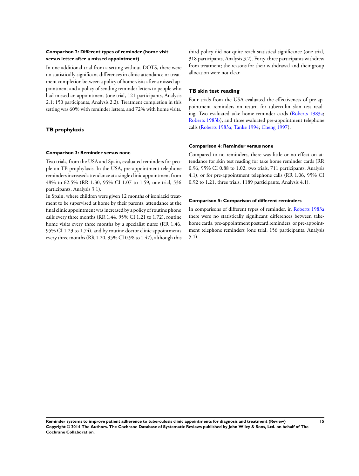# **Comparison 2: Different types of reminder (home visit versus letter after a missed appointment)**

In one additional trial from a setting without DOTS, there were no statistically significant differences in clinic attendance or treatment completion between a policy of home visits after a missed appointment and a policy of sending reminder letters to people who had missed an appointment (one trial, 121 participants, Analysis 2.1; 150 participants, Analysis 2.2). Treatment completion in this setting was 60% with reminder letters, and 72% with home visits.

## **TB prophylaxis**

#### **Comparison 3: Reminder versus none**

Two trials, from the USA and Spain, evaluated reminders for people on TB prophylaxis. In the USA, pre-appointment telephone reminders increased attendance at a single clinic appointment from 48% to 62.5% (RR 1.30, 95% CI 1.07 to 1.59, one trial, 536 participants, Analysis 3.1).

In Spain, where children were given 12 months of isoniazid treatment to be supervised at home by their parents, attendance at the final clinic appointment was increased by a policy of routine phone calls every three months (RR 1.44, 95% CI 1.21 to 1.72), routine home visits every three months by a specialist nurse (RR 1.46, 95% CI 1.23 to 1.74), and by routine doctor clinic appointments every three months (RR 1.20, 95% CI 0.98 to 1.47), although this

third policy did not quite reach statistical significance (one trial, 318 participants, Analysis 3.2). Forty-three participants withdrew from treatment; the reasons for their withdrawal and their group allocation were not clear.

### **TB skin test reading**

Four trials from the USA evaluated the effectiveness of pre-appointment reminders on return for tuberculin skin test reading. Two evaluated take home reminder cards [\(Roberts 1983a;](#page-21-0) [Roberts 1983b](#page-21-0)), and three evaluated pre-appointment telephone calls ([Roberts 1983a;](#page-21-0) [Tanke 1994;](#page-21-0) [Cheng 1997\)](#page-21-0).

#### **Comparison 4: Reminder versus none**

Compared to no reminders, there was little or no effect on attendance for skin test reading for take home reminder cards (RR 0.96, 95% CI 0.88 to 1.02, two trials, 711 participants, Analysis 4.1), or for pre-appointment telephone calls (RR 1.06, 95% CI 0.92 to 1.21, three trials, 1189 participants, Analysis 4.1).

#### **Comparison 5: Comparison of different reminders**

In comparisons of different types of reminder, in [Roberts 1983a](#page-21-0) there were no statistically significant differences between takehome cards, pre-appointment postcard reminders, or pre-appointment telephone reminders (one trial, 156 participants, Analysis 5.1).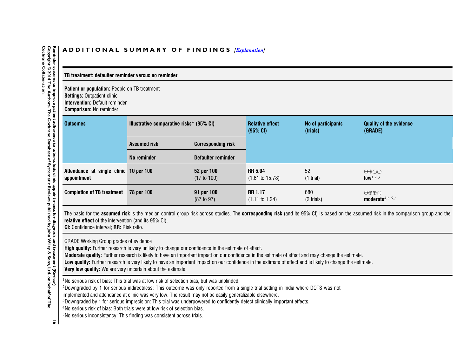# <span id="page-17-0"></span>ADDITIONAL SUMMARY OF FINDINGS *[\[Explanation\]](http://www.thecochranelibrary.com/view/0/SummaryFindings.html)*

## **TB treatment: defaulter reminder versus no reminder**

**Patient or population:** People on TB treatment

**Settings:** Outpatient clinic

**Intervention:** Default reminder

**Comparison:** No reminder

| <b>Outcomes</b>                                       | Illustrative comparative risks* (95% CI) |                                      | <b>Relative effect</b><br>$(95\% \text{ CI})$ | No of participants<br>(trials) | <b>Quality of the evidence</b><br>(GRADE)          |
|-------------------------------------------------------|------------------------------------------|--------------------------------------|-----------------------------------------------|--------------------------------|----------------------------------------------------|
|                                                       | <b>Assumed risk</b>                      | <b>Corresponding risk</b>            |                                               |                                |                                                    |
|                                                       | No reminder                              | Defaulter reminder                   |                                               |                                |                                                    |
| Attendance at single clinic 10 per 100<br>appointment |                                          | 52 per 100<br>$(17 \text{ to } 100)$ | <b>RR 5.04</b><br>$(1.61 \text{ to } 15.78)$  | 52<br>$(1 \text{ trial})$      | $\oplus \oplus \bigcirc \bigcirc$<br>$low^{1,2,3}$ |
| <b>Completion of TB treatment</b>                     | 78 per 100                               | 91 per 100<br>$(87 \text{ to } 97)$  | <b>RR 1.17</b><br>$(1.11 \text{ to } 1.24)$   | 680<br>(2 trials)              | $\oplus \oplus \oplus \cap$<br>moderate $4,5,6,7$  |

The basis for the **assumed risk** is the median control group risk across studies. The **corresponding risk** (and its 95% CI) is based on the assumed risk in the comparison group and the **relative effect** of the intervention (and its 95% CI).

**CI:** Confidence interval; **RR:** Risk ratio.

GRADE Working Group grades of evidence

**High quality:** Further research is very unlikely to change our confidence in the estimate of effect.

**Moderate quality:** Further research is likely to have an important impact on our confidence in the estimate of effect and may change the estimate.

Low quality: Further research is very likely to have an important impact on our confidence in the estimate of effect and is likely to change the estimate.

**Very low quality:** We are very uncertain about the estimate.

 $1$ No serious risk of bias: This trial was at low risk of selection bias, but was unblinded.

<sup>2</sup>Downgraded by 1 for serious indirectness: This outcome was only reported from a single trial setting in India where DOTS was not

implemented and attendance at clinic was very low. The result may not be easily generalizable elsewhere.

<sup>3</sup>Downgraded by <sup>1</sup> for serious imprecision: This trial was underpowered to confidently detect clinically important effects.

<sup>4</sup>No serious risk of bias: Both trials were at low risk of selection bias.

<sup>5</sup>No serious inconsistency: This finding was consistent across trials.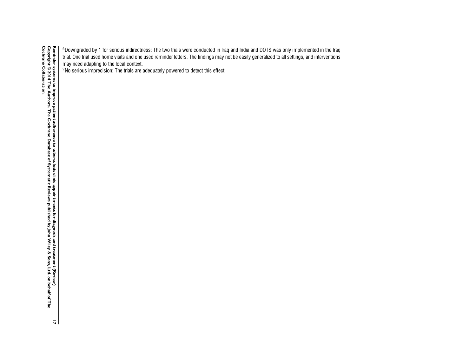$^6$ Downgraded by 1 for serious indirectness: The two trials were conducted in Iraq and India and DOTS was only implemented in the Iraq trial. One trial used home visits and one used reminder letters. The findings may not be easily generalized to all settings, and interventions may need adapting to the local context.

<sup>7</sup>No serious imprecision: The trials are adequately powered to detect this effect.

Reminder systems to improve patient adherence to tuberculosis clinic appointments for diagnosis and treatment (Review)<br>Copyright © 2014 The Authors. The Cochrane Database of Systematic Reviews published by John Wiley & So **Cochrane Collaboration.Copyright © 2014 The Authors. The Cochrane Database of Systematic Reviews published by John Wiley & Sons, Ltd. on behalf of The 17 Reminder systems to improve patient adherence to tuberculosis clinic appointments for diagnosis and treatment (Review)**

 $\vert$   $\vert$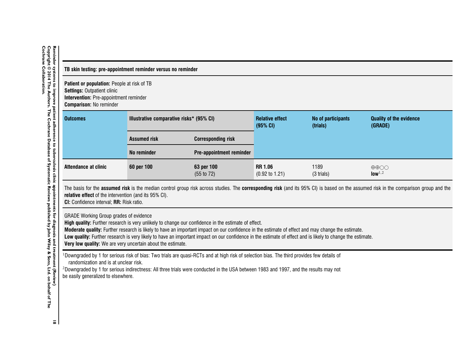<span id="page-19-0"></span>

| <b>Settings: Outpatient clinic</b><br><b>Comparison: No reminder</b> | Patient or population: People at risk of TB<br>Intervention: Pre-appointment reminder |                                          |                                             |                                |                                                         |
|----------------------------------------------------------------------|---------------------------------------------------------------------------------------|------------------------------------------|---------------------------------------------|--------------------------------|---------------------------------------------------------|
| <b>Outcomes</b>                                                      |                                                                                       | Illustrative comparative risks* (95% CI) |                                             | No of participants<br>(trials) | <b>Quality of the evidence</b><br>(GRADE)               |
|                                                                      | <b>Assumed risk</b>                                                                   | <b>Corresponding risk</b>                |                                             |                                |                                                         |
|                                                                      | No reminder                                                                           | Pre-appointment reminder                 |                                             |                                |                                                         |
| Attendance at clinic                                                 | 60 per 100                                                                            | 63 per 100<br>$(55 \text{ to } 72)$      | <b>RR 1.06</b><br>$(0.92 \text{ to } 1.21)$ | 1189<br>$(3 \text{ trials})$   | $\oplus \oplus \bigcirc \bigcirc$<br>low <sup>1,2</sup> |

**relative effect** of the intervention (and its 95% CI).

**CI:** Confidence interval; **RR:** Risk ratio.

GRADE Working Group grades of evidence

**High quality:** Further research is very unlikely to change our confidence in the estimate of effect.

**Moderate quality:** Further research is likely to have an important impact on our confidence in the estimate of effect and may change the estimate.

Low quality: Further research is very likely to have an important impact on our confidence in the estimate of effect and is likely to change the estimate.

**Very low quality:** We are very uncertain about the estimate.

<sup>1</sup>Downgraded by 1 for serious risk of bias: Two trials are quasi-RCTs and at high risk of selection bias. The third provides few details of randomization and is at unclear risk.

<sup>2</sup>Downgraded by 1 for serious indirectness: All three trials were conducted in the USA between 1983 and 1997, and the results may not be easily generalized to elsewhere.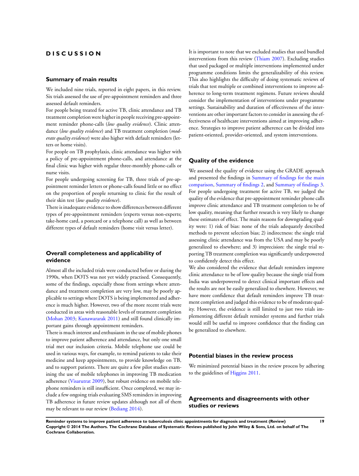# **D I S C U S S I O N**

## **Summary of main results**

We included nine trials, reported in eight papers, in this review. Six trials assessed the use of pre-appointment reminders and three assessed default reminders.

For people being treated for active TB, clinic attendance and TB treatment completion were higher in people receiving pre-appointment reminder phone-calls (*low quality evidence*). Clinic attendance (*low quality evidence*) and TB treatment completion (*moderate quality evidence*) were also higher with default reminders (letters or home visits).

For people on TB prophylaxis, clinic attendance was higher with a policy of pre-appointment phone-calls, and attendance at the final clinic was higher with regular three-monthly phone-calls or nurse visits.

For people undergoing screening for TB, three trials of pre-appointment reminder letters or phone-calls found little or no effect on the proportion of people returning to clinic for the result of their skin test (*low quality evidence*).

There is inadequate evidence to show differences between different types of pre-appointment reminders (experts versus non-experts; take-home card, a postcard or a telephone call) as well as between different types of default reminders (home visit versus letter).

# **Overall completeness and applicability of evidence**

Almost all the included trials were conducted before or during the 1990s, when DOTS was not yet widely practised. Consequently, some of the findings, especially those from settings where attendance and treatment completion are very low, may be poorly applicable to settings where DOTS is being implemented and adherence is much higher. However, two of the more recent trials were conducted in areas with reasonable levels of treatment completion [\(Mohan 2003;](#page-21-0) [Kunawararak 2011](#page-21-0)) and still found clinically important gains through appointment reminders.

There is much interest and enthusiasm in the use of mobile phones to improve patient adherence and attendance, but only one small trial met our inclusion criteria. Mobile telephone use could be used in various ways, for example, to remind patients to take their medicine and keep appointments, to provide knowledge on TB, and to support patients. There are quite a few pilot studies examining the use of mobile telephones in improving TB medication adherence [\(Visarutrat 2009\)](#page-21-0), but robust evidence on mobile telephone reminders is still insufficient. Once completed, we may include a few ongoing trials evaluating SMS reminders in improving TB adherence in future review updates although not all of them may be relevant to our review ([Bediang 2014](#page-21-0)).

It is important to note that we excluded studies that used bundled interventions from this review ([Thiam 2007\)](#page-21-0). Excluding studies that used packaged or multiple interventions implemented under programme conditions limits the generalizability of this review. This also highlights the difficulty of doing systematic reviews of trials that test multiple or combined interventions to improve adherence to long-term treatment regimens. Future reviews should consider the implementation of interventions under programme settings. Sustainability and duration of effectiveness of the interventions are other important factors to consider in assessing the effectiveness of healthcare interventions aimed at improving adherence. Strategies to improve patient adherence can be divided into patient-oriented, provider-oriented, and system interventions.

# **Quality of the evidence**

We assessed the quality of evidence using the GRADE approach and presented the findings in [Summary of findings for the main](#page-5-0) [comparison,](#page-5-0) [Summary of findings 2](#page-17-0), and [Summary of findings 3.](#page-19-0) For people undergoing treatment for active TB, we judged the quality of the evidence that pre-appointment reminder phone calls improve clinic attendance and TB treatment completion to be of low quality, meaning that further research is very likely to change these estimates of effect. The main reasons for downgrading quality were: 1) risk of bias: none of the trials adequately described methods to prevent selection bias; 2) indirectness: the single trial assessing clinic attendance was from the USA and may be poorly generalized to elsewhere; and 3) imprecision: the single trial reporting TB treatment completion was significantly underpowered to confidently detect this effect.

We also considered the evidence that default reminders improve clinic attendance to be of low quality because the single trial from India was underpowered to detect clinical important effects and the results are not be easily generalized to elsewhere. However, we have more confidence that default reminders improve TB treatment completion and judged this evidence to be of moderate quality. However, the evidence is still limited to just two trials implementing different default reminder systems and further trials would still be useful to improve confidence that the finding can be generalized to elsewhere.

# **Potential biases in the review process**

We minimized potential biases in the review process by adhering to the guidelines of [Higgins 2011.](#page-21-0)

# **Agreements and disagreements with other studies or reviews**

**Reminder systems to improve patient adherence to tuberculosis clinic appointments for diagnosis and treatment (Review) 19 Copyright © 2014 The Authors. The Cochrane Database of Systematic Reviews published by John Wiley & Sons, Ltd. on behalf of The Cochrane Collaboration.**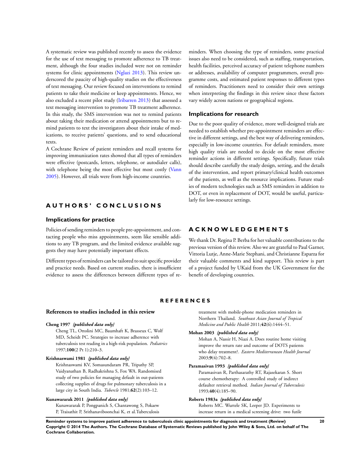<span id="page-21-0"></span>A systematic review was published recently to assess the evidence for the use of text messaging to promote adherence to TB treatment, although the four studies included were not on reminder systems for clinic appointments (Nglazi 2013). This review underscored the paucity of high-quality studies on the effectiveness of text messaging. Our review focused on interventions to remind patients to take their medicine or keep appointments. Hence, we also excluded a recent pilot study (Iribarren 2013) that assessed a text messaging intervention to promote TB treatment adherence. In this study, the SMS intervention was not to remind patients about taking their medication or attend appointments but to remind patients to text the investigators about their intake of medications, to receive patients' questions, and to send educational texts.

A Cochrane Review of patient reminders and recall systems for improving immunization rates showed that all types of reminders were effective (postcards, letters, telephone, or autodialer calls), with telephone being the most effective but most costly (Vann 2005). However, all trials were from high-income countries.

# **A U T H O R S ' C O N C L U S I O N S**

# **Implications for practice**

Policies of sending reminders to people pre-appointment, and contacting people who miss appointments, seem like sensible additions to any TB program, and the limited evidence available suggests they may have potentially important effects.

Different types of reminders can be tailored to suit specific provider and practice needs. Based on current studies, there is insufficient evidence to assess the differences between different types of re-

minders. When choosing the type of reminders, some practical issues also need to be considered, such as staffing, transportation, health facilities, perceived accuracy of patient telephone numbers or addresses, availability of computer programmers, overall programme costs, and estimated patient responses to different types of reminders. Practitioners need to consider their own settings when interpreting the findings in this review since these factors vary widely across nations or geographical regions.

## **Implications for research**

Due to the poor quality of evidence, more well-designed trials are needed to establish whether pre-appointment reminders are effective in different settings, and the best way of delivering reminders, especially in low-income countries. For default reminders, more high quality trials are needed to decide on the most effective reminder actions in different settings. Specifically, future trials should describe carefully the study design, setting, and the details of the intervention, and report primary/clinical health outcomes of the patients, as well as the resource implications. Future studies of modern technologies such as SMS reminders in addition to DOT, or even in replacement of DOT, would be useful, particularly for low-resource settings.

# **A C K N O W L E D G E M E N T S**

We thank Dr. Regina P. Berba for her valuable contributions to the previous version of this review. Also we are grateful to Paul Garner, Vittoria Lutje, Anne-Marie Stephani, and Christianne Esparza for their valuable comments and kind support. This review is part of a project funded by UKaid from the UK Government for the benefit of developing countries.

# **R E F E R E N C E S**

# **References to studies included in this review**

#### **Cheng 1997** *{published data only}*

Cheng TL, Ottolini MC, Baumhaft K, Brasseux C, Wolf MD, Scheidt PC. Strategies to increase adherence with tuberculosis test reading in a high-risk population. *Pediatrics* 1997;**100**(2 Pt 1):210–3.

#### **Krishnaswami 1981** *{published data only}*

Krishnaswami KV, Somasundaram PR, Tripathy SP, Vaidyanathan B, Radhakrishna S, Fox WA. Randomised study of two policies for managing default in out-patients collecting supplies of drugs for pulmonary tuberculosis in a large city in South India. *Tubercle* 1981;**62**(2):103–12.

#### **Kunawararak 2011** *{published data only}*

Kunawararak P, Pongpanich S, Chantawong S, Pokaew P, Traisathit P, Srithanaviboonchai K, et al.Tuberculosis treatment with mobile-phone medication reminders in Northern Thailand. *Southeast Asian Journal of Tropical Medicine and Public Health* 2011;**42**(6):1444–51.

#### **Mohan 2003** *{published data only}*

Mohan A, Nassir H, Niazi A. Does routine home visiting improve the return rate and outcome of DOTS patients who delay treatment?. *Eastern Mediterranean Health Journal* 2003;**9**(4):702–8.

#### **Paramasivan 1993** *{published data only}*

Paramasivan R, Parthasarathy RT, Rajasekaran S. Short course chemotherapy: A controlled study of indirect defaulter retrieval method. *Indian Journal of Tuberculosis* 1993;**40**(4):185–90.

#### **Roberts 1983a** *{published data only}*

Roberts MC. Wurtele SK, Leeper JD. Experiments to increase return in a medical screening drive: two futile

**Reminder systems to improve patient adherence to tuberculosis clinic appointments for diagnosis and treatment (Review) 20 Copyright © 2014 The Authors. The Cochrane Database of Systematic Reviews published by John Wiley & Sons, Ltd. on behalf of The Cochrane Collaboration.**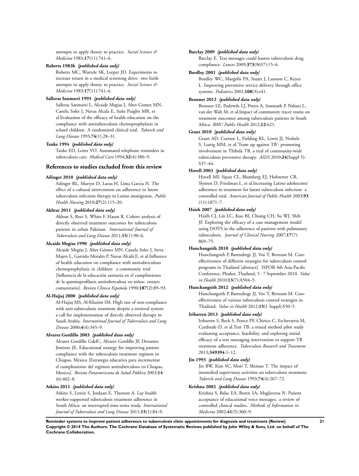attempts to apply theory to practice. *Social Science & Medicine* 1983;**17**(11):741–6.

#### **Roberts 1983b** *{published data only}*

Roberts MC, Wurtele SK, Leeper JD. Experiments to increase return in a medical screening drive: two futile attempts to apply theory to practice. *Social Science & Medicine* 1983;**17**(11):741–6.

## **Salleras Sanmarti 1993** *{published data only}*

Salleras Sanmarti L, Alcaide Megias J, Altet Gomez MN, Canela Soler J, Navas Alcala E, Suñe Puigbo MR, et al.Evaluation of the efficacy of health education on the compliance with antituberculosis chemoprophylaxis in school children. A randomized clinical trial. *Tubercle and Lung Disease* 1993;**74**(1):28–31.

#### **Tanke 1994** *{published data only}*

Tanke ED, Leirer VO. Automated telephone reminders in tuberculosis care. *Medical Care* 1994;**32**(4):380–9.

# **References to studies excluded from this review**

#### **Ailinger 2010** *{published data only}*

Ailinger RL, Martyn D, Lasus H, Lima Garcia N. The effect of a cultural intervention on adherence to latent tuberculosis infection therapy in Latino immigrants. *Public Health Nursing* 2010;**27**(2):115–20.

#### **Akhtar 2011** *{published data only}*

Akhtar S, Rozi S, White F, Hasan R. Cohort analysis of directly observed treatment outcomes for tuberculosis patients in urban Pakistan. *International Journal of Tuberculosis and Lung Disease* 2011;**15**(1):90–6.

# **Alcaide Megías 1990** *{published data only}*

Alcaide Megías J, Altet Gómez MN, Canela Soler J, Serra Majen L, Garrido Morales P, Navas Alcalá E, et al.Influence of health education on compliance with antituberculous chemoprophylaxis in children: a community trial [Influencia de la educación sanitaria en el cumplimiento de la quimioprofilaxis antituberculosa en niños: ensayo comunitario]. *Revista Clínica Española* 1990;**187**(2):89–93.

## **Al-Hajjaj 2000** *{published data only}*

Al-Hajjaj MS, Al-Khatim IM. High rate of non-compliance with anti-tuberculosis treatment despite a retrieval system: a call for implementation of directly observed therapy in Saudi Arabia. *International Journal of Tuberculosis and Lung Disease* 2000;**4**(4):345–9.

#### **Alvarez Gordillo 2003** *{published data only}*

Alvarez Gordillo GdelC, Alvarez Gordillo JF, Dorantes Jiménez JE. Educational strategy for improving patient compliance with the tuberculosis treatment regimen in Chiapas, Mexico [Estrategia educativa para incrementar el cumplimiento del regimen antituberculoso en Chiapas, Mexico]. *Revista Panamericana de Salud Pública* 2003;**14**  $(6):402-8.$ 

#### **Atkins 2011** *{published data only}*

Atkins S, Lewin S, Jordaan E, Thorson A. Lay health worker-supported tuberculosis treatment adherence in South Africa: an interrupted time-series study. *International Journal of Tuberculosis and Lung Disease* 2011;**15**(1):84–9.

#### **Barclay 2009** *{published data only}*

Barclay E. Text messages could hasten tuberculosis drug compliance. *Lancet* 2009;**373**(9657):15–6.

#### **Bordley 2001** *{published data only}*

Bordley WC, Margolis PA, Stuart J, Lannon C, Keyes L. Improving preventive service delivery through office systems. *Pediatrics* 2001;**108**(3):e41.

## **Bronner 2012** *{published data only}*

Bronner LE, Podewils LJ, Peters A, Somnath P, Nshuti L, van der Walt M, et al.Impact of community tracer teams on treatment outcomes among tuberculosis patients in South Africa. *BMC Public Health* 2012;**12**:621.

#### **Grant 2010** *{published data only}*

Grant AD, Coetzee L, Fielding KL, Lewis JJ, Ntshele S, Luttig MM, et al.'Team up against TB': promoting involvement in Thibela TB, a trial of community-wide tuberculosis preventive therapy. *AIDS* 2010;**24**(Suppl 5): S37–44.

#### **Hovell 2003** *{published data only}*

Hovell MF, Sipan CL, Blumberg EJ, Hofstetter CR, Slymen D, Friedman L, et al.Increasing Latino adolescents' adherence to treatment for latent tuberculosis infection: a controlled trial. *American Journal of Public Health* 2003;**93** (11):1871–7.

#### **Hsieh 2007** *{published data only}*

Hsieh CJ, Lin LC, Kuo BI, Chiang CH, Su WJ, Shih JF. Exploring the efficacy of a case management model using DOTS in the adherence of patients with pulmonary tuberculosis. *Journal of Clinical Nursing* 2007;**17**(7): 869–75.

#### **Hunchangsith 2010** *{published data only}*

Hunchangsith P, Barendregt JJ, Vos T, Bertram M. Costeffectiveness of different strategies for tuberculosis control programs in Thailand [abstract]. ISPOR 4th Asia-Pacific Conference, Phuket, Thailand, 5 - 7 September 2010. *Value in Health* 2010;**13**(7):A504–5.

#### **Hunchangsith 2012** *{published data only}*

Hunchangsith P, Barendregt JJ, Vos T, Bertram M. Costeffectiveness of various tuberculosis control strategies in Thailand. *Value in Health* 2012;**15**(1 Suppl):S50–5.

#### **Iribarren 2013** *{published data only}*

Iribarren S, Beck S, Pearce PF, Chirico C, Etchevarria M, Cardinale D, et al.Text TB: a mixed method pilot study evaluating acceptance, feasibility, and exploring initial efficacy of a text messaging intervention to support TB treatment adherence. *Tuberculosis Research and Treatment* 2013;**349394**:1–12.

#### **Jin 1993** *{published data only}*

Jin BW, Kim SC, Mori T, Shimao T. The impact of intensified supervisory activities on tuberculosis treatment. *Tubercle and Lung Disease* 1993;**74**(4):267–72.

#### **Krishna 2002** *{published data only}*

Krishna S, Balas EA, Boren SA, Maglaveras N. Patient acceptance of educational voice messages: a review of controlled clinical studies. *Methods of Information in Medicine* 2002;**41**(5):360–9.

**Reminder systems to improve patient adherence to tuberculosis clinic appointments for diagnosis and treatment (Review) 21 Copyright © 2014 The Authors. The Cochrane Database of Systematic Reviews published by John Wiley & Sons, Ltd. on behalf of The Cochrane Collaboration.**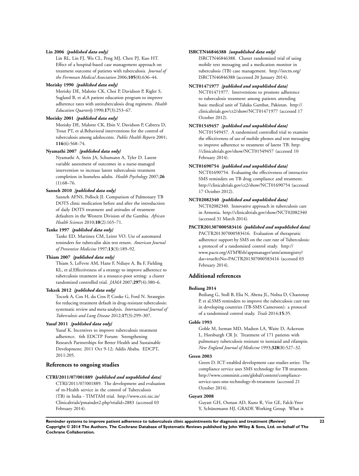#### **Lin 2006** *{published data only}*

Lin RL, Lin FJ, Wu CL, Peng MJ, Chen PJ, Kuo HT. Effect of a hospital-based case management approach on treatment outcome of patients with tuberculosis. *Journal of the Formosan Medical Association* 2006;**105**(8):636–44.

## **Morisky 1990** *{published data only}*

Morisky DE, Malotte CK, Choi P, Davidson P, Rigler S, Sugland B, et al.A patient education program to improve adherence rates with antituberculosis drug regimens. *Health Education Quarterly* 1990;**17**(3):253–67.

## **Morisky 2001** *{published data only}*

Morisky DE, Malotte CK, Ebin V, Davidson P, Cabrera D, Trout PT, et al.Behavioral interventions for the control of tuberculosis among adolescents. *Public Health Reports* 2001; **116**(6):568–74.

## **Nyamathi 2007** *{published data only}*

Nyamathi A, Stein JA, Schumann A, Tyler D. Latent variable assessment of outcomes in a nurse-managed intervention to increase latent tuberculosis treatment completion in homeless adults. *Health Psychology* 2007;**26**  $(1):68-76.$ 

### **Sanneh 2010** *{published data only}*

Sanneh AFNS, Pollock JI. Comparison of Pulmonary TB DOTS clinic medication before and after the introduction of daily DOTS treatment and attitudes of treatment defaulters in the Western Division of the Gambia. *African Health Sciences* 2010;**10**(2):165–71.

#### **Tanke 1997** *{published data only}*

Tanke ED, Martinez CM, Leirer VO. Use of automated reminders for tuberculin skin test return. *American Journal of Preventive Medicine* 1997;**13**(3):189–92.

#### **Thiam 2007** *{published data only}*

Thiam S, LeFevre AM, Hane F, Ndiaye A, Ba F, Fielding KL, et al.Effectiveness of a strategy to improve adherence to tuberculosis treatment in a resource-poor setting: a cluster randomized controlled trial. *JAMA* 2007;**297**(4):380–6.

#### **Tokzek 2012** *{published data only}*

Toczek A, Cox H, du Cros P, Cooke G, Ford N. Strategies for reducing treatment default in drug-resistant tuberculosis: systematic review and meta-analysis. *International Journal of Tuberculosis and Lung Disease* 2012;**17**(3):299–307.

## **Yusuf 2011** *{published data only}*

Yusuf K. Incentives to improve tuberculosis treatment adherence. 6th EDCTP Forum: Strengthening Research Partnerships for Better Health and Sustainable Development; 2011 Oct 9-12; Addis Ababa. EDCPT, 2011:205.

# **References to ongoing studies**

## **CTRI/2011/07/001889** *{published and unpublished data}*

CTRI/2011/07/001889. The development and evaluation of m-Health service in the control of Tuberculosis (TB) in India - TIMTAM trial. http://www.ctri.nic.in/ Clinicaltrials/pmaindet2.php?trialid=2883 (accessed 03 February 2014).

#### **ISRCTN46846388** *{unpublished data only}*

ISRCTN46846388. Cluster randomized trial of using mobile text messaging and a medication monitor in tuberculosis (TB) case management. http://isrctn.org/ ISRCTN46846388 (accessed 20 January 2014).

#### **NCT01471977** *{published and unpublished data}*

NCT01471977. Interventions to promote adherence to tuberculosis treatment among patients attending basic medical unit of Taluka Gambat, Pakistan. http:// clinicaltrials.gov/ct2/show/NCT01471977 (accessed 17 October 2012).

#### **NCT01549457** *{published and unpublished data}*

NCT01549457. A randomized controlled trial to examine the effectiveness of use of mobile phones and text messaging to improve adherence to treatment of latent TB. http: //clinicaltrials.gov/show/NCT01549457 (accessed 10 February 2014).

## **NCT01690754** *{published and unpublished data}*

NCT01690754. Evaluating the effectiveness of interactive SMS reminders on TB drug compliance and treatment. http://clinicaltrials.gov/ct2/show/NCT01690754 (accessed 17 October 2012).

# **NCT02082340** *{published and unpublished data}*

NCT02082340. Innovative approach in tuberculosis care in Armenia. http://clinicaltrials.gov/show/NCT02082340 (accessed 31 March 2014).

# **PACTR201307000583416** *{published and unpublished data}*

PACTR201307000583416. Evaluation of therapeutic adherence support by SMS on the cure rate of Tuberculosis: a protocol of a randomized control study. http:// www.pactr.org/ATMWeb/appmanager/atm/atmregistry? dar=true&tNo=PACTR201307000583416 (accessed 03 February 2014).

# **Additional references**

#### **Bediang 2014**

Bediang G, Stoll B, Elia N, Abena JL, Nolna D, Chastonay P, et al.SMS reminders to improve the tuberculosis cure rate in developing countries (TB-SMS Cameroon): a protocol of a randomised control study. *Trials* 2014;**15**:35.

#### **Goble 1993**

Goble M, Iseman MD, Madsen LA, Waite D, Ackerson L, Horsburgh CR Jr. Treatment of 171 patients with pulmonary tuberculosis resistant to isoniazid and rifampin. *New England Journal of Medicine* 1993;**328**(8):527–32.

#### **Green 2003**

Green D. ICT-enabled development case studies series: The compliance service uses SMS technology for TB treatment. http://www.comminit.com/global/content/complianceservice-uses-sms-technology-tb-treatment (accessed 21 October 2014).

#### **Guyatt 2008**

Guyatt GH, Oxman AD, Kunz R, Vist GE, Falck-Ytter Y, Schünemann HJ, GRADE Working Group. What is

**Reminder systems to improve patient adherence to tuberculosis clinic appointments for diagnosis and treatment (Review) 22 Copyright © 2014 The Authors. The Cochrane Database of Systematic Reviews published by John Wiley & Sons, Ltd. on behalf of The Cochrane Collaboration.**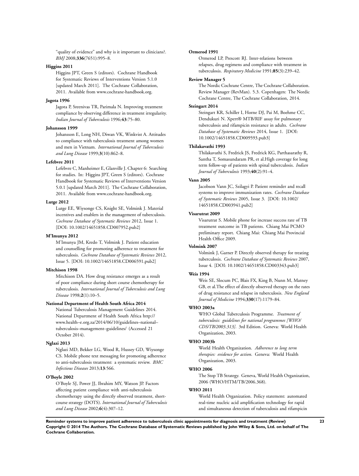"quality of evidence" and why is it important to clinicians?. *BMJ* 2008;**336**(7651):995–8.

# **Higgins 2011**

Higgins JPT, Green S (editors). Cochrane Handbook for Systematic Reviews of Interventions Version 5.1.0 [updated March 2011]. The Cochrane Collaboration, 2011. Available from www.cochrane-handbook.org.

#### **Jagota 1996**

Jagota P, Sreenivas TR, Parimala N. Improving treatment compliance by observing difference in treatment irregularity. *Indian Journal of Tuberculosis* 1996;**43**:75–80.

# **Johansson 1999**

Johansson E, Long NH, Diwan VK, Winkvist A. Attitudes to compliance with tuberculosis treatment among women and men in Vietnam. *International Journal of Tuberculosis and Lung Disease* 1999;**3**(10):862–8.

#### **Lefebvre 2011**

Lefebvre C, Manheimer E, Glanville J. Chapter 6: Searching for studies. In: Higgins JPT, Green S (editors). Cochrane Handbook for Systematic Reviews of Interventions Version 5.0.1 [updated March 2011]. The Cochrane Collaboration, 2011. Available from www.cochrane-handbook.org.

#### **Lutge 2012**

Lutge EE, Wiysonge CS, Knight SE, Volmink J. Material incentives and enablers in the management of tuberculosis. *Cochrane Database of Systematic Reviews* 2012, Issue 1. [DOI: 10.1002/14651858.CD007952.pub2]

### **M'Imunya 2012**

M'Imunya JM, Kredo T, Volmink J. Patient education and counselling for promoting adherence to treatment for tuberculosis. *Cochrane Database of Systematic Reviews* 2012, Issue 5. [DOI: 10.1002/14651858.CD006591.pub2]

#### **Mitchison 1998**

Mitchison DA. How drug resistance emerges as a result of poor compliance during short course chemotherapy for tuberculosis. *International Journal of Tuberculosis and Lung Disease* 1998;**2**(1):10–5.

#### **National Department of Health South Africa 2014**

National Tuberculosis Management Guidelines 2014. National Department of Health South Africa http:// www.health–e.org.za/2014/06/10/guidelines–national– tuberculosis–management–guidelines/ (Accessed 21 October 2014).

# **Nglazi 2013**

Nglazi MD, Bekker LG, Wood R, Hussey GD, Wiysonge CS. Mobile phone text messaging for promoting adherence to anti-tuberculosis treatment: a systematic review. *BMC Infectious Diseases* 2013;**13**:566.

# **O'Boyle 2002**

O'Boyle SJ, Power JJ, Ibrahim MY, Watson JP. Factors affecting patient compliance with anti-tuberculosis chemotherapy using the directly observed treatment, shortcourse strategy (DOTS). *International Journal of Tuberculosis and Lung Disease* 2002;**6**(4):307–12.

#### **Ormerod 1991**

Ormerod LP, Prescott RJ. Inter-relations between relapses, drug regimens and compliance with treatment in tuberculosis. *Respiratory Medicine* 1991;**85**(3):239–42.

### **Review Manager 5**

The Nordic Cochrane Centre, The Cochrane Collaboration. Review Manager (RevMan). 5.3. Copenhagen: The Nordic Cochrane Centre, The Cochrane Collaboration, 2014.

### **Steingart 2014**

Steingart KR, Schiller I, Horne DJ, Pai M, Boehme CC, Dendukuri N. Xpert® MTB/RIF assay for pulmonary tuberculosis and rifampicin resistance in adults. *Cochrane Database of Systematic Reviews* 2014, Issue 1. [DOI: 10.1002/14651858.CD009593.pub3]

#### **Thilakavathi 1993**

Thilakavathi S, Fredrick JS, Fredrick KG, Parthasarathy R, Santha T, Somasundaram PR, et al.High coverage for long term follow-up of patients with spinal tuberculosis. *Indian Journal of Tuberculosis* 1993;**40**(2):91–4.

# **Vann 2005**

Jacobson Vann JC, Szilagyi P. Patient reminder and recall systems to improve immunization rates. *Cochrane Database of Systematic Reviews* 2005, Issue 3. [DOI: 10.1002/ 14651858.CD003941.pub2]

#### **Visarutrat 2009**

Visarutrat S. Mobile phone for increase success rate of TB treatment outcome in TB patients. Chiang Mai PCMO preliminary report. Chiang Mai: Chiang Mai Provincial Health Office 2009.

# **Volmink 2007**

Volmink J, Garner P. Directly observed therapy for treating tuberculosis. *Cochrane Database of Systematic Reviews* 2007, Issue 4. [DOI: 10.1002/14651858.CD003343.pub3]

#### **Weis 1994**

Weis SE, Slocum PC, Blais FX, King B, Nunn M, Matney GB, et al.The effect of directly observed therapy on the rates of drug resistance and relapse in tuberculosis. *New England Journal of Medicine* 1994;**330**(17):1179–84.

## **WHO 2003a**

WHO Global Tuberculosis Programme. *Treatment of tuberculosis: guidelines for national programmes [WHO/ CDS/TB/2003.313]*. 3rd Edition. Geneva: World Health Organization, 2003.

#### **WHO 2003b**

World Health Organization. *Adherence to long term therapies: evidence for action*. Geneva: World Health Organization, 2003.

#### **WHO 2006**

The Stop TB Strategy. Geneva, World Health Organization, 2006 (WHO/HTM/TB/2006.368).

## **WHO 2011**

World Health Organization. Policy statement: automated real-time nucleic acid amplification technology for rapid and simultaneous detection of tuberculosis and rifampicin

**Reminder systems to improve patient adherence to tuberculosis clinic appointments for diagnosis and treatment (Review) 23 Copyright © 2014 The Authors. The Cochrane Database of Systematic Reviews published by John Wiley & Sons, Ltd. on behalf of The Cochrane Collaboration.**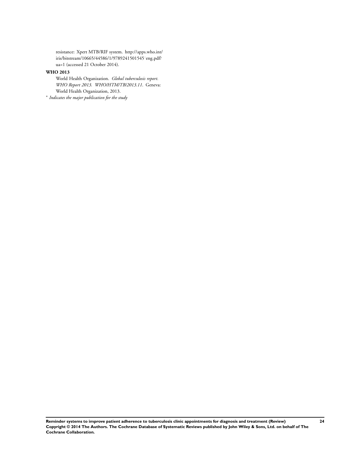resistance: Xpert MTB/RIF system. http://apps.who.int/ iris/bitstream/10665/44586/1/9789241501545˙eng.pdf? ua=1 (accessed 21 October 2014).

# **WHO 2013**

World Health Organization. *Global tuberculosis report. WHO Report 2013. WHO/HTM/TB/2013.11*. Geneva: World Health Organization, 2013.

∗ *Indicates the major publication for the study*

**Reminder systems to improve patient adherence to tuberculosis clinic appointments for diagnosis and treatment (Review) 24 Copyright © 2014 The Authors. The Cochrane Database of Systematic Reviews published by John Wiley & Sons, Ltd. on behalf of The Cochrane Collaboration.**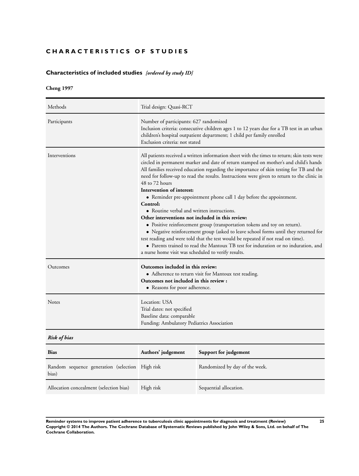# <span id="page-26-0"></span>**CHARACTERISTICS OF STUDIES**

# **Characteristics of included studies** *[ordered by study ID]*

# **Cheng 1997**

| Methods             | Trial design: Quasi-RCT                                                                                                                                                                                                                                                                                                                                                                                                                                                                                                                                                                                                                                                                                                                                                                                                                                                                                                                                                                                               |  |  |  |
|---------------------|-----------------------------------------------------------------------------------------------------------------------------------------------------------------------------------------------------------------------------------------------------------------------------------------------------------------------------------------------------------------------------------------------------------------------------------------------------------------------------------------------------------------------------------------------------------------------------------------------------------------------------------------------------------------------------------------------------------------------------------------------------------------------------------------------------------------------------------------------------------------------------------------------------------------------------------------------------------------------------------------------------------------------|--|--|--|
| Participants        | Number of participants: 627 randomized<br>Inclusion criteria: consecutive children ages 1 to 12 years due for a TB test in an urban<br>children's hospital outpatient department; 1 child per family enrolled<br>Exclusion criteria: not stated                                                                                                                                                                                                                                                                                                                                                                                                                                                                                                                                                                                                                                                                                                                                                                       |  |  |  |
| Interventions       | All patients received a written information sheet with the times to return; skin tests were<br>circled in permanent marker and date of return stamped on mother's and child's hands<br>All families received education regarding the importance of skin testing for TB and the<br>need for follow-up to read the results. Instructions were given to return to the clinic in<br>48 to 72 hours<br>Intervention of interest:<br>• Reminder pre-appointment phone call 1 day before the appointment.<br>Control:<br>• Routine verbal and written instructions.<br>Other interventions not included in this review:<br>• Positive reinforcement group (transportation tokens and toy on return).<br>• Negative reinforcement group (asked to leave school forms until they returned for<br>test reading and were told that the test would be repeated if not read on time).<br>• Parents trained to read the Mantoux TB test for induration or no induration, and<br>a nurse home visit was scheduled to verify results. |  |  |  |
| Outcomes            | Outcomes included in this review:<br>• Adherence to return visit for Mantoux test reading.<br>Outcomes not included in this review :<br>• Reasons for poor adherence.                                                                                                                                                                                                                                                                                                                                                                                                                                                                                                                                                                                                                                                                                                                                                                                                                                                 |  |  |  |
| <b>Notes</b>        | Location: USA<br>Trial dates: not specified<br>Baseline data: comparable<br>Funding: Ambulatory Pediatrics Association                                                                                                                                                                                                                                                                                                                                                                                                                                                                                                                                                                                                                                                                                                                                                                                                                                                                                                |  |  |  |
| <b>Risk of bias</b> |                                                                                                                                                                                                                                                                                                                                                                                                                                                                                                                                                                                                                                                                                                                                                                                                                                                                                                                                                                                                                       |  |  |  |
|                     |                                                                                                                                                                                                                                                                                                                                                                                                                                                                                                                                                                                                                                                                                                                                                                                                                                                                                                                                                                                                                       |  |  |  |

| <b>Bias</b>                                              | Authors' judgement | Support for judgement          |
|----------------------------------------------------------|--------------------|--------------------------------|
| Random sequence generation (selection High risk<br>bias) |                    | Randomized by day of the week. |
| Allocation concealment (selection bias)                  | High risk          | Sequential allocation.         |

**Reminder systems to improve patient adherence to tuberculosis clinic appointments for diagnosis and treatment (Review) 25 Copyright © 2014 The Authors. The Cochrane Database of Systematic Reviews published by John Wiley & Sons, Ltd. on behalf of The Cochrane Collaboration.**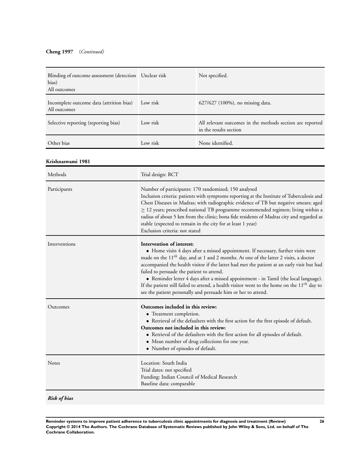# **Cheng 1997** (*Continued)*

| Blinding of outcome assessment (detection Unclear risk<br>bias)<br>All outcomes |          | Not specified.                                                                      |
|---------------------------------------------------------------------------------|----------|-------------------------------------------------------------------------------------|
| Incomplete outcome data (attrition bias)<br>All outcomes                        | Low risk | 627/627 (100%), no missing data.                                                    |
| Selective reporting (reporting bias)                                            | Low risk | All relevant outcomes in the methods section are reported<br>in the results section |
| Other bias                                                                      | Low risk | None identified.                                                                    |

## **Krishnaswami 1981**

| Methods       | Trial design: RCT                                                                                                                                                                                                                                                                                                                                                                                                                                                                                                                                                                                                    |
|---------------|----------------------------------------------------------------------------------------------------------------------------------------------------------------------------------------------------------------------------------------------------------------------------------------------------------------------------------------------------------------------------------------------------------------------------------------------------------------------------------------------------------------------------------------------------------------------------------------------------------------------|
| Participants  | Number of participants: 170 randomized; 150 analysed<br>Inclusion criteria: patients with symptoms reporting at the Institute of Tuberculosis and<br>Chest Diseases in Madras; with radiographic evidence of TB but negative smears; aged<br>$\geq$ 12 years; prescribed national TB programme recommended regimen; living within a<br>radius of about 5 km from the clinic; bona fide residents of Madras city and regarded as<br>stable (expected to remain in the city for at least 1 year)<br>Exclusion criteria: not stated                                                                                     |
| Interventions | Intervention of interest:<br>• Home visits 4 days after a missed appointment. If necessary, further visits were<br>made on the $11^{th}$ day, and at 1 and 2 months. At one of the latter 2 visits, a doctor<br>accompanied the health visitor if the latter had met the patient at an early visit but had<br>failed to persuade the patient to attend.<br>• Reminder letter 4 days after a missed appointment - in Tamil (the local language).<br>If the patient still failed to attend, a health visitor went to the home on the $11^{th}$ day to<br>see the patient personally and persuade him or her to attend. |
| Outcomes      | Outcomes included in this review:<br>• Treatment completion.<br>• Retrieval of the defaulters with the first action for the first episode of default.<br>Outcomes not included in this review:<br>• Retrieval of the defaulters with the first action for all episodes of default.<br>• Mean number of drug collections for one year.<br>• Number of episodes of default.                                                                                                                                                                                                                                            |
| <b>Notes</b>  | Location: South India<br>Trial dates: not specified<br>Funding: Indian Council of Medical Research<br>Baseline data: comparable                                                                                                                                                                                                                                                                                                                                                                                                                                                                                      |

# *Risk of bias*

**Reminder systems to improve patient adherence to tuberculosis clinic appointments for diagnosis and treatment (Review) 26 Copyright © 2014 The Authors. The Cochrane Database of Systematic Reviews published by John Wiley & Sons, Ltd. on behalf of The Cochrane Collaboration.**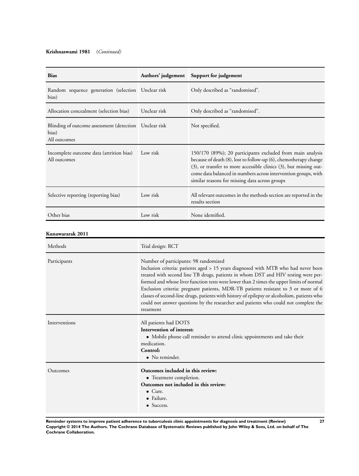# **Krishnaswami 1981** (*Continued)*

| <b>Bias</b>                                                                     |              | Authors' judgement Support for judgement                                                                                                                                                                                                                                                                                |
|---------------------------------------------------------------------------------|--------------|-------------------------------------------------------------------------------------------------------------------------------------------------------------------------------------------------------------------------------------------------------------------------------------------------------------------------|
| Random sequence generation (selection Unclear risk<br>bias)                     |              | Only described as "randomised".                                                                                                                                                                                                                                                                                         |
| Allocation concealment (selection bias)                                         | Unclear risk | Only described as "randomised".                                                                                                                                                                                                                                                                                         |
| Blinding of outcome assessment (detection Unclear risk<br>bias)<br>All outcomes |              | Not specified.                                                                                                                                                                                                                                                                                                          |
| Incomplete outcome data (attrition bias)<br>All outcomes                        | Low risk     | 150/170 (89%); 20 participants excluded from main analysis<br>because of death (8), lost to follow-up (6), chemotherapy change<br>(3), or transfer to more accessible clinics (3), but missing out-<br>come data balanced in numbers across intervention groups, with<br>similar reasons for missing data across groups |
| Selective reporting (reporting bias)                                            | Low risk     | All relevant outcomes in the methods section are reported in the<br>results section                                                                                                                                                                                                                                     |
| Other bias                                                                      | Low risk     | None identified.                                                                                                                                                                                                                                                                                                        |

# **Kunawararak 2011**

| Methods       | Trial design: RCT                                                                                                                                                                                                                                                                                                                                                                                                                                                                                                                                                                                      |
|---------------|--------------------------------------------------------------------------------------------------------------------------------------------------------------------------------------------------------------------------------------------------------------------------------------------------------------------------------------------------------------------------------------------------------------------------------------------------------------------------------------------------------------------------------------------------------------------------------------------------------|
| Participants  | Number of participants: 98 randomized<br>Inclusion criteria: patients aged > 15 years diagnosed with MTB who had never been<br>treated with second line TB drugs, patients in whom DST and HIV testing were per-<br>formed and whose liver function tests were lower than 2 times the upper limits of normal<br>Exclusion criteria: pregnant patients, MDR-TB patients resistant to 3 or more of 6<br>classes of second-line drugs, patients with history of epilepsy or alcoholism, patients who<br>could not answer questions by the researcher and patients who could not complete the<br>treatment |
| Interventions | All patients had DOTS<br>Intervention of interest:<br>• Mobile phone call reminder to attend clinic appointments and take their<br>medication.<br>Control:<br>• No reminder.                                                                                                                                                                                                                                                                                                                                                                                                                           |
| Outcomes      | Outcomes included in this review:<br>• Treatment completion.<br>Outcomes not included in this review:<br>$\bullet$ Cure.<br>• Failure.<br>• Success.                                                                                                                                                                                                                                                                                                                                                                                                                                                   |

**Reminder systems to improve patient adherence to tuberculosis clinic appointments for diagnosis and treatment (Review) 27 Copyright © 2014 The Authors. The Cochrane Database of Systematic Reviews published by John Wiley & Sons, Ltd. on behalf of The Cochrane Collaboration.**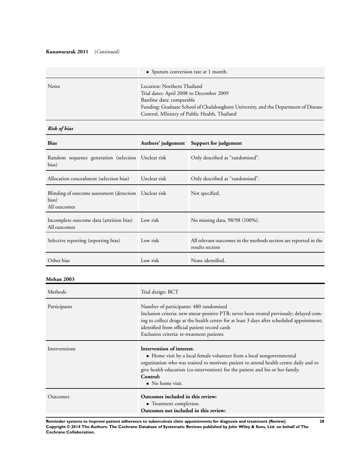# **Kunawararak 2011** (*Continued)*

|              | • Sputum conversion rate at 1 month.                                                                                                                                                                                                        |
|--------------|---------------------------------------------------------------------------------------------------------------------------------------------------------------------------------------------------------------------------------------------|
| <b>Notes</b> | Location: Northern Thailand<br>Trial dates: April 2008 to December 2009<br>Baseline data: comparable<br>Funding: Graduate School of Chulalongkorn University, and the Department of Disease<br>Control, MInistry of Public Health, Thailand |

# *Risk of bias*

| <b>Bias</b>                                                                     |              | Authors' judgement Support for judgement                                            |
|---------------------------------------------------------------------------------|--------------|-------------------------------------------------------------------------------------|
| Random sequence generation (selection Unclear risk<br>bias)                     |              | Only described as "randomised".                                                     |
| Allocation concealment (selection bias)                                         | Unclear risk | Only described as "randomised".                                                     |
| Blinding of outcome assessment (detection Unclear risk<br>bias)<br>All outcomes |              | Not specified.                                                                      |
| Incomplete outcome data (attrition bias)<br>All outcomes                        | Low risk     | No missing data, 98/98 (100%).                                                      |
| Selective reporting (reporting bias)                                            | Low risk     | All relevant outcomes in the methods section are reported in the<br>results section |
| Other bias                                                                      | Low risk     | None identified.                                                                    |

# **Mohan 2003**

| Methods       | Trial design: RCT                                                                                                                                                                                                                                                                                                             |
|---------------|-------------------------------------------------------------------------------------------------------------------------------------------------------------------------------------------------------------------------------------------------------------------------------------------------------------------------------|
| Participants  | Number of participants: 480 randomized<br>Inclusion criteria: new smear-positive PTB; never been treated previously; delayed com-<br>ing to collect drugs at the health centre for at least 3 days after scheduled appointment;<br>identified from official patient record cards<br>Exclusion criteria: re-treatment patients |
| Interventions | Intervention of interest:<br>• Home visit by a local female volunteer from a local nongovernmental<br>organization who was trained to motivate patient to attend health centre daily and to<br>give health education (co-intervention) for the patient and his or her family.<br>Control:<br>$\bullet$ No home visit.         |
| Outcomes      | Outcomes included in this review:<br>• Treatment completion.<br>Outcomes not included in this review:                                                                                                                                                                                                                         |

**Reminder systems to improve patient adherence to tuberculosis clinic appointments for diagnosis and treatment (Review) 28 Copyright © 2014 The Authors. The Cochrane Database of Systematic Reviews published by John Wiley & Sons, Ltd. on behalf of The Cochrane Collaboration.**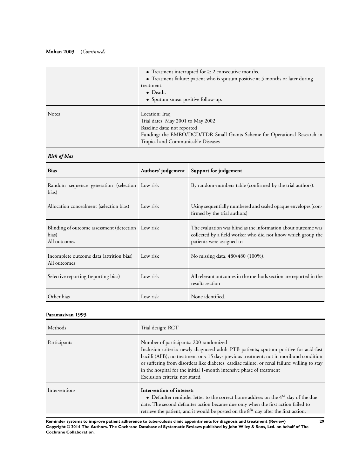# **Mohan 2003** (*Continued)*

|              | • Treatment interrupted for $\geq 2$ consecutive months.<br>• Treatment failure: patient who is sputum positive at 5 months or later during<br>treatment.<br>$\bullet$ Death.<br>• Sputum smear positive follow-up. |
|--------------|---------------------------------------------------------------------------------------------------------------------------------------------------------------------------------------------------------------------|
| <b>Notes</b> | Location: Iraq<br>Trial dates: May 2001 to May 2002<br>Baseline data: not reported<br>Funding: the EMRO/DCD/TDR Small Grants Scheme for Operational Research in<br>Tropical and Communicable Diseases               |

# *Risk of bias*

| <b>Bias</b>                                                                 |          | Authors' judgement Support for judgement                                                                                                                   |
|-----------------------------------------------------------------------------|----------|------------------------------------------------------------------------------------------------------------------------------------------------------------|
| Random sequence generation (selection Low risk<br>bias)                     |          | By random-numbers table (confirmed by the trial authors).                                                                                                  |
| Allocation concealment (selection bias)                                     | Low risk | Using sequentially numbered and sealed opaque envelopes (con-<br>firmed by the trial authors)                                                              |
| Blinding of outcome assessment (detection Low risk<br>bias)<br>All outcomes |          | The evaluation was blind as the information about outcome was<br>collected by a field worker who did not know which group the<br>patients were assigned to |
| Incomplete outcome data (attrition bias)<br>All outcomes                    | Low risk | No missing data, 480/480 (100%).                                                                                                                           |
| Selective reporting (reporting bias)                                        | Low risk | All relevant outcomes in the methods section are reported in the<br>results section                                                                        |
| Other bias                                                                  | Low risk | None identified.                                                                                                                                           |

# **Paramasivan 1993**

| Methods       | Trial design: RCT                                                                                                                                                                                                                                                                                                                                                                                                                    |
|---------------|--------------------------------------------------------------------------------------------------------------------------------------------------------------------------------------------------------------------------------------------------------------------------------------------------------------------------------------------------------------------------------------------------------------------------------------|
| Participants  | Number of participants: 200 randomized<br>Inclusion criteria: newly diagnosed adult PTB patients; sputum positive for acid-fast<br>bacilli (AFB); no treatment or < 15 days previous treatment; not in moribund condition<br>or suffering from disorders like diabetes, cardiac failure, or renal failure; willing to stay<br>in the hospital for the initial 1-month intensive phase of treatment<br>Exclusion criteria: not stated |
| Interventions | Intervention of interest:<br>• Defaulter reminder letter to the correct home address on the $4th$ day of the due<br>date. The second defaulter action became due only when the first action failed to<br>retrieve the patient, and it would be posted on the $8th$ day after the first action.                                                                                                                                       |

**Reminder systems to improve patient adherence to tuberculosis clinic appointments for diagnosis and treatment (Review) 29 Copyright © 2014 The Authors. The Cochrane Database of Systematic Reviews published by John Wiley & Sons, Ltd. on behalf of The Cochrane Collaboration.**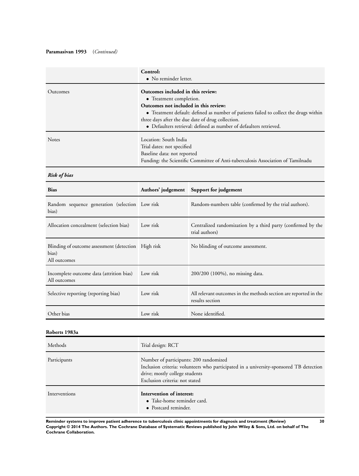# **Paramasivan 1993** (*Continued)*

|              | Control:<br>• No reminder letter.                                                                                                                                                                                                                                                                                         |
|--------------|---------------------------------------------------------------------------------------------------------------------------------------------------------------------------------------------------------------------------------------------------------------------------------------------------------------------------|
| Outcomes     | Outcomes included in this review:<br>• Treatment completion.<br>Outcomes not included in this review:<br>• Treatment default: defined as number of patients failed to collect the drugs within<br>three days after the due date of drug collection.<br>• Defaulters retrieval: defined as number of defaulters retrieved. |
| <b>Notes</b> | Location: South India<br>Trial dates: not specified<br>Baseline data: not reported<br>Funding: the Scientific Committee of Anti-tuberculosis Association of Tamilnadu                                                                                                                                                     |

# *Risk of bias*

| <b>Bias</b>                                                                  |          | Authors' judgement Support for judgement                                            |
|------------------------------------------------------------------------------|----------|-------------------------------------------------------------------------------------|
| Random sequence generation (selection Low risk<br>bias)                      |          | Random-numbers table (confirmed by the trial authors).                              |
| Allocation concealment (selection bias)                                      | Low risk | Centralized randomization by a third party (confirmed by the<br>trial authors)      |
| Blinding of outcome assessment (detection High risk<br>bias)<br>All outcomes |          | No blinding of outcome assessment.                                                  |
| Incomplete outcome data (attrition bias)<br>All outcomes                     | Low risk | 200/200 (100%), no missing data.                                                    |
| Selective reporting (reporting bias)                                         | Low risk | All relevant outcomes in the methods section are reported in the<br>results section |
| Other bias                                                                   | Low risk | None identified.                                                                    |

# **Roberts 1983a**

| Methods       | Trial design: RCT                                                                                                                                                                                    |
|---------------|------------------------------------------------------------------------------------------------------------------------------------------------------------------------------------------------------|
| Participants  | Number of participants: 200 randomized<br>Inclusion criteria: volunteers who participated in a university-sponsored TB detection<br>drive; mostly college students<br>Exclusion criteria: not stated |
| Interventions | Intervention of interest:<br>• Take-home reminder card.<br>• Postcard reminder.                                                                                                                      |

**Reminder systems to improve patient adherence to tuberculosis clinic appointments for diagnosis and treatment (Review) 30 Copyright © 2014 The Authors. The Cochrane Database of Systematic Reviews published by John Wiley & Sons, Ltd. on behalf of The Cochrane Collaboration.**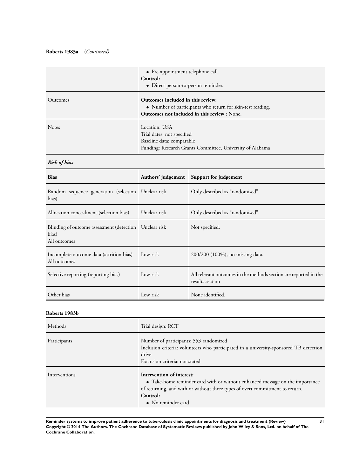|              | • Pre-appointment telephone call.<br>Control:<br>• Direct person-to-person reminder.                                                            |
|--------------|-------------------------------------------------------------------------------------------------------------------------------------------------|
| Outcomes     | Outcomes included in this review:<br>• Number of participants who return for skin-test reading.<br>Outcomes not included in this review : None. |
| <b>Notes</b> | Location: USA<br>Trial dates: not specified<br>Baseline data: comparable<br>Funding: Research Grants Committee, University of Alabama           |

# *Risk of bias*

| <b>Bias</b>                                                                     |              | Authors' judgement Support for judgement                                            |
|---------------------------------------------------------------------------------|--------------|-------------------------------------------------------------------------------------|
| Random sequence generation (selection Unclear risk<br>bias)                     |              | Only described as "randomised".                                                     |
| Allocation concealment (selection bias)                                         | Unclear risk | Only described as "randomised".                                                     |
| Blinding of outcome assessment (detection Unclear risk<br>bias)<br>All outcomes |              | Not specified.                                                                      |
| Incomplete outcome data (attrition bias)<br>All outcomes                        | Low risk     | 200/200 (100%), no missing data.                                                    |
| Selective reporting (reporting bias)                                            | Low risk     | All relevant outcomes in the methods section are reported in the<br>results section |
| Other bias                                                                      | Low risk     | None identified.                                                                    |

# **Roberts 1983b**

| Methods       | Trial design: RCT                                                                                                                                                                                                            |
|---------------|------------------------------------------------------------------------------------------------------------------------------------------------------------------------------------------------------------------------------|
| Participants  | Number of participants: 553 randomized<br>Inclusion criteria: volunteers who participated in a university-sponsored TB detection<br>drive<br>Exclusion criteria: not stated                                                  |
| Interventions | Intervention of interest:<br>• Take-home reminder card with or without enhanced message on the importance<br>of returning, and with or without three types of overt commitment to return.<br>Control:<br>• No reminder card. |

**Reminder systems to improve patient adherence to tuberculosis clinic appointments for diagnosis and treatment (Review) 31 Copyright © 2014 The Authors. The Cochrane Database of Systematic Reviews published by John Wiley & Sons, Ltd. on behalf of The Cochrane Collaboration.**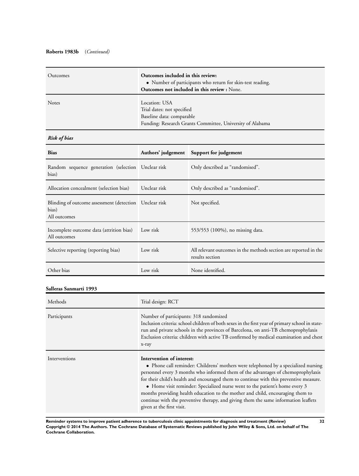# **Roberts 1983b** (*Continued)*

| Outcomes     | Outcomes included in this review:<br>• Number of participants who return for skin-test reading.<br><b>Outcomes not included in this review:</b> None. |
|--------------|-------------------------------------------------------------------------------------------------------------------------------------------------------|
| <b>Notes</b> | Location: USA<br>Trial dates: not specified<br>Baseline data: comparable<br>Funding: Research Grants Committee, University of Alabama                 |

# *Risk of bias*

| <b>Bias</b>                                                                     |              | Authors' judgement Support for judgement                                            |
|---------------------------------------------------------------------------------|--------------|-------------------------------------------------------------------------------------|
| Random sequence generation (selection Unclear risk<br>bias)                     |              | Only described as "randomised".                                                     |
| Allocation concealment (selection bias)                                         | Unclear risk | Only described as "randomised".                                                     |
| Blinding of outcome assessment (detection Unclear risk<br>bias)<br>All outcomes |              | Not specified.                                                                      |
| Incomplete outcome data (attrition bias)<br>All outcomes                        | Low risk     | 553/553 (100%), no missing data.                                                    |
| Selective reporting (reporting bias)                                            | Low risk     | All relevant outcomes in the methods section are reported in the<br>results section |
| Other bias                                                                      | Low risk     | None identified.                                                                    |

# **Salleras Sanmarti 1993**

| Methods       | Trial design: RCT                                                                                                                                                                                                                                                                                                                                                                                                                                                                                                                                                                  |
|---------------|------------------------------------------------------------------------------------------------------------------------------------------------------------------------------------------------------------------------------------------------------------------------------------------------------------------------------------------------------------------------------------------------------------------------------------------------------------------------------------------------------------------------------------------------------------------------------------|
| Participants  | Number of participants: 318 randomized<br>Inclusion criteria: school children of both sexes in the first year of primary school in state-<br>run and private schools in the provinces of Barcelona, on anti-TB chemoprophylaxis<br>Exclusion criteria: children with active TB confirmed by medical examination and chest<br>x-ray                                                                                                                                                                                                                                                 |
| Interventions | Intervention of interest:<br>• Phone call reminder: Childrens' mothers were telephoned by a specialized nursing<br>personnel every 3 months who informed them of the advantages of chemoprophylaxis<br>for their child's health and encouraged them to continue with this preventive measure.<br>• Home visit reminder: Specialized nurse went to the patient's home every 3<br>months providing health education to the mother and child, encouraging them to<br>continue with the preventive therapy, and giving them the same information leaflets<br>given at the first visit. |

**Reminder systems to improve patient adherence to tuberculosis clinic appointments for diagnosis and treatment (Review) 32 Copyright © 2014 The Authors. The Cochrane Database of Systematic Reviews published by John Wiley & Sons, Ltd. on behalf of The Cochrane Collaboration.**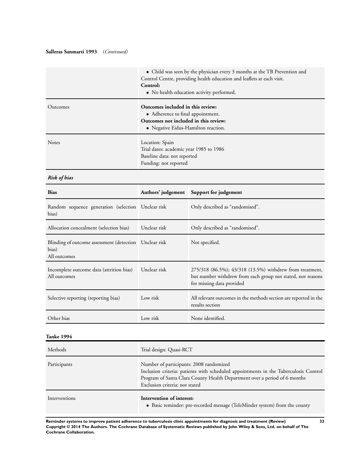# **Salleras Sanmarti 1993** (*Continued)*

|              | • Child was seen by the physician every 3 months at the TB Prevention and<br>Control Centre, providing health education and leaflets at each visit.<br>Control:<br>• No health education activity performed. |
|--------------|--------------------------------------------------------------------------------------------------------------------------------------------------------------------------------------------------------------|
| Outcomes     | Outcomes included in this review:<br>• Adherence to final appointment.<br>Outcomes not included in this review:<br>• Negative Eidus-Hamilton reaction.                                                       |
| <b>Notes</b> | Location: Spain<br>Trial dates: academic year 1985 to 1986<br>Baseline data: not reported<br>Funding: not reported                                                                                           |

*Risk of bias*

| <b>Bias</b>                                                                     | Authors' judgement | Support for judgement                                                                                                                                |
|---------------------------------------------------------------------------------|--------------------|------------------------------------------------------------------------------------------------------------------------------------------------------|
| Random sequence generation (selection Unclear risk<br>bias)                     |                    | Only described as "randomised".                                                                                                                      |
| Allocation concealment (selection bias)                                         | Unclear risk       | Only described as "randomised".                                                                                                                      |
| Blinding of outcome assessment (detection Unclear risk<br>bias)<br>All outcomes |                    | Not specified.                                                                                                                                       |
| Incomplete outcome data (attrition bias)<br>All outcomes                        | Unclear risk       | 275/318 (86.5%); 43/318 (13.5%) withdrew from treatment,<br>but number withdrew from each group not stated, nor reasons<br>for missing data provided |
| Selective reporting (reporting bias)                                            | Low risk           | All relevant outcomes in the methods section are reported in the<br>results section                                                                  |
| Other bias                                                                      | Low risk           | None identified.                                                                                                                                     |

# **Tanke 1994**

| Methods       | Trial design: Quasi-RCT                                                                                                                                                                                                                        |
|---------------|------------------------------------------------------------------------------------------------------------------------------------------------------------------------------------------------------------------------------------------------|
| Participants  | Number of participants: 2008 randomized<br>Inclusion criteria: patients with scheduled appointments in the Tuberculosis Control<br>Program of Santa Clara County Health Department over a period of 6 months<br>Exclusion criteria: not stated |
| Interventions | Intervention of interest:<br>• Basic reminder: pre-recorded message (TeleMinder system) from the county                                                                                                                                        |

**Reminder systems to improve patient adherence to tuberculosis clinic appointments for diagnosis and treatment (Review) 33 Copyright © 2014 The Authors. The Cochrane Database of Systematic Reviews published by John Wiley & Sons, Ltd. on behalf of The Cochrane Collaboration.**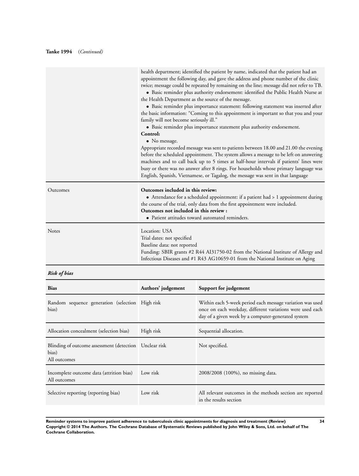|          | health department; identified the patient by name, indicated that the patient had an<br>appointment the following day, and gave the address and phone number of the clinic<br>twice; message could be repeated by remaining on the line; message did not refer to TB.<br>• Basic reminder plus authority endorsement: identified the Public Health Nurse at<br>the Health Department as the source of the message.<br>• Basic reminder plus importance statement: following statement was inserted after<br>the basic information: "Coming to this appointment is important so that you and your<br>family will not become seriously ill."<br>• Basic reminder plus importance statement plus authority endorsement.<br>Control:<br>• No message.<br>Appropriate recorded message was sent to patients between 18.00 and 21.00 the evening<br>before the scheduled appointment. The system allows a message to be left on answering<br>machines and to call back up to 5 times at half-hour intervals if patients' lines were<br>busy or there was no answer after 8 rings. For households whose primary language was<br>English, Spanish, Vietnamese, or Tagalog, the message was sent in that language |
|----------|----------------------------------------------------------------------------------------------------------------------------------------------------------------------------------------------------------------------------------------------------------------------------------------------------------------------------------------------------------------------------------------------------------------------------------------------------------------------------------------------------------------------------------------------------------------------------------------------------------------------------------------------------------------------------------------------------------------------------------------------------------------------------------------------------------------------------------------------------------------------------------------------------------------------------------------------------------------------------------------------------------------------------------------------------------------------------------------------------------------------------------------------------------------------------------------------------------|
| Outcomes | Outcomes included in this review:<br>• Attendance for a scheduled appointment: if a patient had > 1 appointment during<br>the course of the trial, only data from the first appointment were included.<br>Outcomes not included in this review:<br>• Patient attitudes toward automated reminders.                                                                                                                                                                                                                                                                                                                                                                                                                                                                                                                                                                                                                                                                                                                                                                                                                                                                                                       |
| Notes    | Location: USA<br>Trial dates: not specified<br>Baseline data: not reported<br>Funding: SBIR grants #2 R44 AI31750-02 from the National Institute of Allergy and<br>Infectious Diseases and #1 R43 AG10659-01 from the National Institute on Aging                                                                                                                                                                                                                                                                                                                                                                                                                                                                                                                                                                                                                                                                                                                                                                                                                                                                                                                                                        |

# *Risk of bias*

| <b>Bias</b>                                                                     | Authors' judgement | Support for judgement                                                                                                                                                        |
|---------------------------------------------------------------------------------|--------------------|------------------------------------------------------------------------------------------------------------------------------------------------------------------------------|
| Random sequence generation (selection High risk<br>bias)                        |                    | Within each 5-week period each message variation was used<br>once on each weekday, different variations were used each<br>day of a given week by a computer-generated system |
| Allocation concealment (selection bias)                                         | High risk          | Sequential allocation.                                                                                                                                                       |
| Blinding of outcome assessment (detection Unclear risk<br>bias)<br>All outcomes |                    | Not specified.                                                                                                                                                               |
| Incomplete outcome data (attrition bias)<br>All outcomes                        | Low risk           | 2008/2008 (100%), no missing data.                                                                                                                                           |
| Selective reporting (reporting bias)                                            | Low risk           | All relevant outcomes in the methods section are reported<br>in the results section                                                                                          |

**Reminder systems to improve patient adherence to tuberculosis clinic appointments for diagnosis and treatment (Review) 34 Copyright © 2014 The Authors. The Cochrane Database of Systematic Reviews published by John Wiley & Sons, Ltd. on behalf of The Cochrane Collaboration.**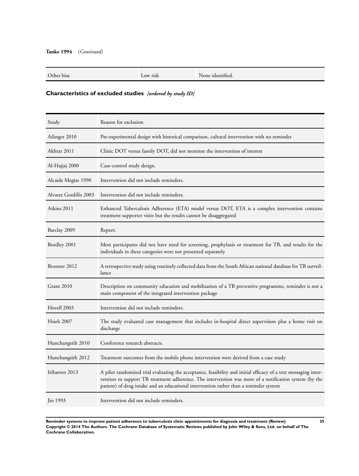## <span id="page-36-0"></span>**Tanke 1994** (*Continued)*

| $\Omega$ ther<br>: bias | LOW risk | $\sim$<br><b>NT</b><br>1dent<br>ned |
|-------------------------|----------|-------------------------------------|
|                         |          |                                     |

# **Characteristics of excluded studies** *[ordered by study ID]*

| Study                 | Reason for exclusion                                                                                                                                                                                                                                                                                              |
|-----------------------|-------------------------------------------------------------------------------------------------------------------------------------------------------------------------------------------------------------------------------------------------------------------------------------------------------------------|
| Ailinger 2010         | Pre-experimental design with historical comparison, cultural intervention with no reminder                                                                                                                                                                                                                        |
| Akhtar 2011           | Clinic DOT versus family DOT, did not mention the intervention of interest                                                                                                                                                                                                                                        |
| Al-Hajjaj 2000        | Case-control study design.                                                                                                                                                                                                                                                                                        |
| Alcaide Megías 1990   | Intervention did not include reminders.                                                                                                                                                                                                                                                                           |
| Alvarez Gordillo 2003 | Intervention did not include reminders.                                                                                                                                                                                                                                                                           |
| Atkins 2011           | Enhanced Tuberculosis Adherence (ETA) model versus DOT, ETA is a complex intervention contains<br>treatment supporter visits but the results cannot be disaggregated                                                                                                                                              |
| Barclay 2009          | Report.                                                                                                                                                                                                                                                                                                           |
| Bordley 2001          | Most participants did not have need for screening, prophylaxis or treatment for TB, and results for the<br>individuals in these categories were not presented separately                                                                                                                                          |
| Bronner 2012          | A retrospective study using routinely collected data from the South African national database for TB surveil-<br>lance                                                                                                                                                                                            |
| Grant 2010            | Description on community education and mobilization of a TB preventive programme, reminder is not a<br>main component of the integrated intervention package                                                                                                                                                      |
| Hovell 2003           | Intervention did not include reminders.                                                                                                                                                                                                                                                                           |
| Hsieh 2007            | The study evaluated case management that includes in-hospital direct supervision plus a home visit on<br>discharge                                                                                                                                                                                                |
| Hunchangsith 2010     | Conference research abstracts.                                                                                                                                                                                                                                                                                    |
| Hunchangsith 2012     | Treatment outcomes from the mobile phone intervention were derived from a case study                                                                                                                                                                                                                              |
| Iribarren 2013        | A pilot randomized trial evaluating the acceptance, feasibility and initial efficacy of a text messaging inter-<br>vention to support TB treatment adherence. The intervention was more of a notification system (by the<br>patient) of drug intake and an educational intervention rather than a reminder system |
| Jin 1993              | Intervention did not include reminders.                                                                                                                                                                                                                                                                           |

**Reminder systems to improve patient adherence to tuberculosis clinic appointments for diagnosis and treatment (Review) 35 Copyright © 2014 The Authors. The Cochrane Database of Systematic Reviews published by John Wiley & Sons, Ltd. on behalf of The Cochrane Collaboration.**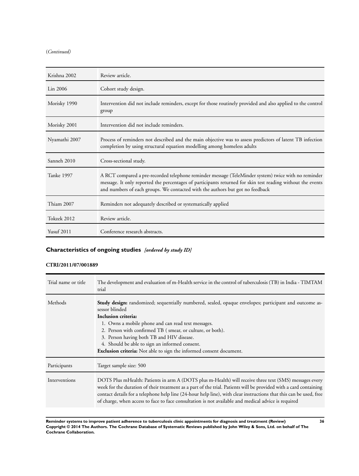<span id="page-37-0"></span>(*Continued)*

| Krishna 2002  | Review article.                                                                                                                                                                                                                                                                                     |
|---------------|-----------------------------------------------------------------------------------------------------------------------------------------------------------------------------------------------------------------------------------------------------------------------------------------------------|
| $Lin$ 2006    | Cohort study design.                                                                                                                                                                                                                                                                                |
| Morisky 1990  | Intervention did not include reminders, except for those routinely provided and also applied to the control<br>group                                                                                                                                                                                |
| Morisky 2001  | Intervention did not include reminders.                                                                                                                                                                                                                                                             |
| Nyamathi 2007 | Process of reminders not described and the main objective was to assess predictors of latent TB infection<br>completion by using structural equation modelling among homeless adults                                                                                                                |
| Sanneh 2010   | Cross-sectional study.                                                                                                                                                                                                                                                                              |
| Tanke 1997    | A RCT compared a pre-recorded telephone reminder message (TeleMinder system) twice with no reminder<br>message. It only reported the percentages of participants returned for skin test reading without the events<br>and numbers of each groups. We contacted with the authors but got no feedback |
| Thiam 2007    | Reminders not adequately described or systematically applied                                                                                                                                                                                                                                        |
| Tokzek 2012   | Review article.                                                                                                                                                                                                                                                                                     |
|               |                                                                                                                                                                                                                                                                                                     |

# **Characteristics of ongoing studies** *[ordered by study ID]*

# **CTRI/2011/07/001889**

| Trial name or title | The development and evaluation of m-Health service in the control of tuberculosis (TB) in India - TIMTAM<br>trial                                                                                                                                                                                                                                                                                                                                        |
|---------------------|----------------------------------------------------------------------------------------------------------------------------------------------------------------------------------------------------------------------------------------------------------------------------------------------------------------------------------------------------------------------------------------------------------------------------------------------------------|
| Methods             | <b>Study design:</b> randomized; sequentially numbered, sealed, opaque envelopes; participant and outcome as-<br>sessor blinded<br>Inclusion criteria:<br>1. Owns a mobile phone and can read text messages.<br>2. Person with confirmed TB (smear, or culture, or both).<br>3. Person having both TB and HIV disease.<br>4. Should be able to sign an informed consent.<br>Exclusion criteria: Not able to sign the informed consent document.          |
| Participants        | Target sample size: 500                                                                                                                                                                                                                                                                                                                                                                                                                                  |
| Interventions       | DOTS Plus mHealth: Patients in arm A (DOTS plus m-Health) will receive three text (SMS) messages every<br>week for the duration of their treatment as a part of the trial. Patients will be provided with a card containing<br>contact details for a telephone help line (24-hour help line), with clear instructions that this can be used, free<br>of charge, when access to face to face consultation is not available and medical advice is required |

**Reminder systems to improve patient adherence to tuberculosis clinic appointments for diagnosis and treatment (Review) 36 Copyright © 2014 The Authors. The Cochrane Database of Systematic Reviews published by John Wiley & Sons, Ltd. on behalf of The Cochrane Collaboration.**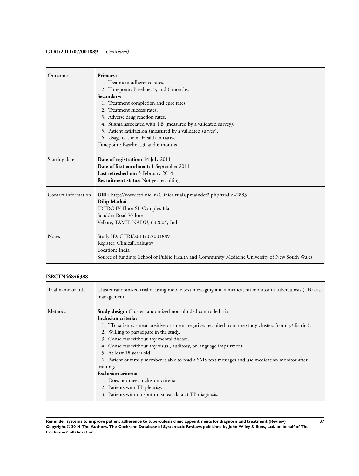# **CTRI/2011/07/001889** (*Continued)*

| Outcomes            | Primary:<br>1. Treatment adherence rates.<br>2. Timepoint: Baseline, 3, and 6 months.<br>Secondary:<br>1. Treatment completion and cure rates.<br>2. Treatment success rates.<br>3. Adverse drug reaction rates.<br>4. Stigma associated with TB (measured by a validated survey).<br>5. Patient satisfaction (measured by a validated survey).<br>6. Usage of the m-Health initiative.<br>Timepoint: Baseline, 3, and 6 months |
|---------------------|---------------------------------------------------------------------------------------------------------------------------------------------------------------------------------------------------------------------------------------------------------------------------------------------------------------------------------------------------------------------------------------------------------------------------------|
| Starting date       | <b>Date of registration:</b> 14 July 2011<br>Date of first enrolment: 1 September 2011<br>Last refreshed on: 3 February 2014<br><b>Recruitment status:</b> Not yet recruiting                                                                                                                                                                                                                                                   |
| Contact information | URL: http://www.ctri.nic.in/Clinicaltrials/pmaindet2.php?trialid=2883<br>Dilip Mathai<br>IDTRC IV Floor SP Complex Ida<br>Scudder Road Vellore<br>Vellore, TAMIL NADU, 632004, India                                                                                                                                                                                                                                            |
| <b>Notes</b>        | Study ID: CTRI/2011/07/001889<br>Register: ClinicalTrials.gov<br>Location: India<br>Source of funding: School of Public Health and Community Medicine University of New South Wales                                                                                                                                                                                                                                             |

# **ISRCTN46846388**

| Trial name or title | Cluster randomized trial of using mobile text messaging and a medication monitor in tuberculosis (TB) case<br>management                                                                                                                                                                                                                                                                                                                                                                                                                                                                                                                                                          |
|---------------------|-----------------------------------------------------------------------------------------------------------------------------------------------------------------------------------------------------------------------------------------------------------------------------------------------------------------------------------------------------------------------------------------------------------------------------------------------------------------------------------------------------------------------------------------------------------------------------------------------------------------------------------------------------------------------------------|
| Methods             | <b>Study design:</b> Cluster randomized non-blinded controlled trial<br>Inclusion criteria:<br>1. TB patients, smear-positive or smear-negative, recruited from the study clusters (county/district).<br>2. Willing to participate in the study.<br>3. Conscious without any mental disease.<br>4. Conscious without any visual, auditory, or language impairment.<br>5. At least 18 years old.<br>6. Patient or family member is able to read a SMS text messages and use medication monitor after<br>training.<br><b>Exclusion criteria:</b><br>1. Does not meet inclusion criteria.<br>2. Patients with TB pleurisy.<br>3. Patients with no sputum smear data at TB diagnosis. |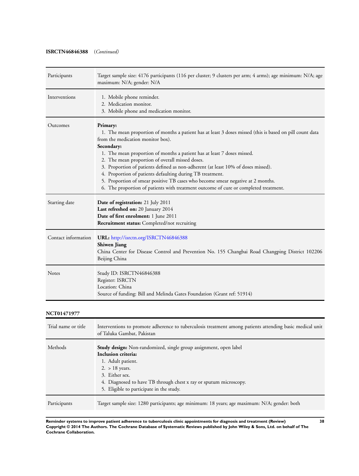# **ISRCTN46846388** (*Continued)*

| Participants        | Target sample size: 4176 participants (116 per cluster; 9 clusters per arm; 4 arms); age minimum: N/A; age<br>maximum: N/A; gender: N/A                                                                                                                                                                                                                                                                                                                                                                                                                                                                                            |  |  |  |  |
|---------------------|------------------------------------------------------------------------------------------------------------------------------------------------------------------------------------------------------------------------------------------------------------------------------------------------------------------------------------------------------------------------------------------------------------------------------------------------------------------------------------------------------------------------------------------------------------------------------------------------------------------------------------|--|--|--|--|
| Interventions       | 1. Mobile phone reminder.<br>2. Medication monitor.<br>3. Mobile phone and medication monitor.                                                                                                                                                                                                                                                                                                                                                                                                                                                                                                                                     |  |  |  |  |
| Outcomes            | Primary:<br>1. The mean proportion of months a patient has at least 3 doses missed (this is based on pill count data<br>from the medication monitor box).<br>Secondary:<br>1. The mean proportion of months a patient has at least 7 doses missed.<br>2. The mean proportion of overall missed doses.<br>3. Proportion of patients defined as non-adherent (at least 10% of doses missed).<br>4. Proportion of patients defaulting during TB treatment.<br>5. Proportion of smear positive TB cases who become smear negative at 2 months.<br>6. The proportion of patients with treatment outcome of cure or completed treatment. |  |  |  |  |
| Starting date       | Date of registration: 21 July 2011<br>Last refreshed on: 20 January 2014<br>Date of first enrolment: 1 June 2011<br><b>Recruitment status:</b> Completed/not recruiting                                                                                                                                                                                                                                                                                                                                                                                                                                                            |  |  |  |  |
| Contact information | URL: http://isrctn.org/ISRCTN46846388<br>Shiwen Jiang<br>China Center for Disease Control and Prevention No. 155 Changbai Road Changping District 102206<br>Beijing China                                                                                                                                                                                                                                                                                                                                                                                                                                                          |  |  |  |  |
| <b>Notes</b>        | Study ID: ISRCTN46846388<br>Register: ISRCTN<br>Location: China<br>Source of funding: Bill and Melinda Gates Foundation (Grant ref: 51914)                                                                                                                                                                                                                                                                                                                                                                                                                                                                                         |  |  |  |  |

# **NCT01471977**

| Trial name or title | Interventions to promote adherence to tuberculosis treatment among patients attending basic medical unit<br>of Taluka Gambat, Pakistan                                                                                                                                      |  |  |  |  |
|---------------------|-----------------------------------------------------------------------------------------------------------------------------------------------------------------------------------------------------------------------------------------------------------------------------|--|--|--|--|
| Methods             | <b>Study design:</b> Non-randomized, single group assignment, open label<br>Inclusion criteria:<br>1. Adult patient.<br>$2. > 18$ years.<br>3. Either sex.<br>4. Diagnosed to have TB through chest x ray or sputum microscopy.<br>5. Eligible to participate in the study. |  |  |  |  |
| Participants        | Target sample size: 1280 participants; age minimum: 18 years; age maximum: N/A; gender: both                                                                                                                                                                                |  |  |  |  |

**Reminder systems to improve patient adherence to tuberculosis clinic appointments for diagnosis and treatment (Review) 38 Copyright © 2014 The Authors. The Cochrane Database of Systematic Reviews published by John Wiley & Sons, Ltd. on behalf of The Cochrane Collaboration.**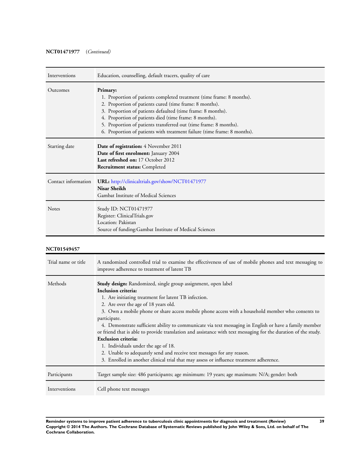# **NCT01471977** (*Continued)*

| Interventions       | Education, counselling, default tracers, quality of care                                                                                                                                                                                                                                                                                                                                                               |  |  |  |  |
|---------------------|------------------------------------------------------------------------------------------------------------------------------------------------------------------------------------------------------------------------------------------------------------------------------------------------------------------------------------------------------------------------------------------------------------------------|--|--|--|--|
| Outcomes            | Primary:<br>1. Proportion of patients completed treatment (time frame: 8 months).<br>2. Proportion of patients cured (time frame: 8 months).<br>3. Proportion of patients defaulted (time frame: 8 months).<br>4. Proportion of patients died (time frame: 8 months).<br>5. Proportion of patients transferred out (time frame: 8 months).<br>6. Proportion of patients with treatment failure (time frame: 8 months). |  |  |  |  |
| Starting date       | Date of registration: 4 November 2011<br>Date of first enrolment: January 2004<br>Last refreshed on: 17 October 2012<br><b>Recruitment status:</b> Completed                                                                                                                                                                                                                                                           |  |  |  |  |
| Contact information | URL: http://clinicaltrials.gov/show/NCT01471977<br>Nisar Sheikh<br>Gambat Institute of Medical Sciences                                                                                                                                                                                                                                                                                                                |  |  |  |  |
| <b>Notes</b>        | Study ID: NCT01471977<br>Register: ClinicalTrials.gov<br>Location: Pakistan<br>Source of funding: Gambat Institute of Medical Sciences                                                                                                                                                                                                                                                                                 |  |  |  |  |

# **NCT01549457**

| Trial name or title | A randomized controlled trial to examine the effectiveness of use of mobile phones and text messaging to<br>improve adherence to treatment of latent TB                                                                                                                                                                                                                                                                                                                                                                                                                                                                                                                                                                                                                                 |  |  |  |  |
|---------------------|-----------------------------------------------------------------------------------------------------------------------------------------------------------------------------------------------------------------------------------------------------------------------------------------------------------------------------------------------------------------------------------------------------------------------------------------------------------------------------------------------------------------------------------------------------------------------------------------------------------------------------------------------------------------------------------------------------------------------------------------------------------------------------------------|--|--|--|--|
| Methods             | <b>Study design:</b> Randomized, single group assignment, open label<br>Inclusion criteria:<br>1. Are initiating treatment for latent TB infection.<br>2. Are over the age of 18 years old.<br>3. Own a mobile phone or share access mobile phone access with a household member who consents to<br>participate.<br>4. Demonstrate sufficient ability to communicate via text messaging in English or have a family member<br>or friend that is able to provide translation and assistance with text messaging for the duration of the study.<br><b>Exclusion criteria:</b><br>1. Individuals under the age of 18.<br>2. Unable to adequately send and receive text messages for any reason.<br>3. Enrolled in another clinical trial that may assess or influence treatment adherence. |  |  |  |  |
| Participants        | Target sample size: 486 participants; age minimum: 19 years; age maximum: N/A; gender: both                                                                                                                                                                                                                                                                                                                                                                                                                                                                                                                                                                                                                                                                                             |  |  |  |  |
| Interventions       | Cell phone text messages                                                                                                                                                                                                                                                                                                                                                                                                                                                                                                                                                                                                                                                                                                                                                                |  |  |  |  |

**Reminder systems to improve patient adherence to tuberculosis clinic appointments for diagnosis and treatment (Review) 39 Copyright © 2014 The Authors. The Cochrane Database of Systematic Reviews published by John Wiley & Sons, Ltd. on behalf of The Cochrane Collaboration.**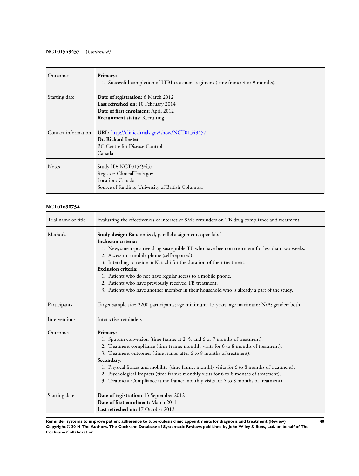# **NCT01549457** (*Continued)*

| <b>Outcomes</b>     | <b>Primary:</b><br>1. Successful completion of LTBI treatment regimens (time frame: 4 or 9 months).                                                       |
|---------------------|-----------------------------------------------------------------------------------------------------------------------------------------------------------|
| Starting date       | Date of registration: 6 March 2012<br>Last refreshed on: 10 February 2014<br>Date of first enrolment: April 2012<br><b>Recruitment status:</b> Recruiting |
| Contact information | URL: http://clinicaltrials.gov/show/NCT01549457<br>Dr. Richard Lester<br><b>BC Centre for Disease Control</b><br>Canada                                   |
| <b>Notes</b>        | Study ID: NCT01549457<br>Register: ClinicalTrials.gov<br>Location: Canada<br>Source of funding: University of British Columbia                            |

# **NCT01690754**

| Trial name or title | Evaluating the effectiveness of interactive SMS reminders on TB drug compliance and treatment                                                                                                                                                                                                                                                                                                                                                                                                                                                                       |  |  |  |  |  |
|---------------------|---------------------------------------------------------------------------------------------------------------------------------------------------------------------------------------------------------------------------------------------------------------------------------------------------------------------------------------------------------------------------------------------------------------------------------------------------------------------------------------------------------------------------------------------------------------------|--|--|--|--|--|
| Methods             | Study design: Randomized, parallel assignment, open label<br>Inclusion criteria:<br>1. New, smear-positive drug susceptible TB who have been on treatment for less than two weeks.<br>2. Access to a mobile phone (self-reported).<br>3. Intending to reside in Karachi for the duration of their treatment.<br><b>Exclusion criteria:</b><br>1. Patients who do not have regular access to a mobile phone.<br>2. Patients who have previously received TB treatment.<br>3. Patients who have another member in their household who is already a part of the study. |  |  |  |  |  |
| Participants        | Target sample size: 2200 participants; age minimum: 15 years; age maximum: N/A; gender: both                                                                                                                                                                                                                                                                                                                                                                                                                                                                        |  |  |  |  |  |
| Interventions       | Interactive reminders                                                                                                                                                                                                                                                                                                                                                                                                                                                                                                                                               |  |  |  |  |  |
| Outcomes            | Primary:<br>1. Sputum conversion (time frame: at 2, 5, and 6 or 7 months of treatment).<br>2. Treatment compliance (time frame: monthly visits for 6 to 8 months of treatment).<br>3. Treatment outcomes (time frame: after 6 to 8 months of treatment).<br>Secondary:<br>1. Physical fitness and mobility (time frame: monthly visits for 6 to 8 months of treatment).<br>2. Psychological Impacts (time frame: monthly visits for 6 to 8 months of treatment).<br>3. Treatment Compliance (time frame: monthly visits for 6 to 8 months of treatment).            |  |  |  |  |  |
| Starting date       | Date of registration: 13 September 2012<br>Date of first enrolment: March 2011<br>Last refreshed on: 17 October 2012                                                                                                                                                                                                                                                                                                                                                                                                                                                |  |  |  |  |  |

**Reminder systems to improve patient adherence to tuberculosis clinic appointments for diagnosis and treatment (Review) 40 Copyright © 2014 The Authors. The Cochrane Database of Systematic Reviews published by John Wiley & Sons, Ltd. on behalf of The Cochrane Collaboration.**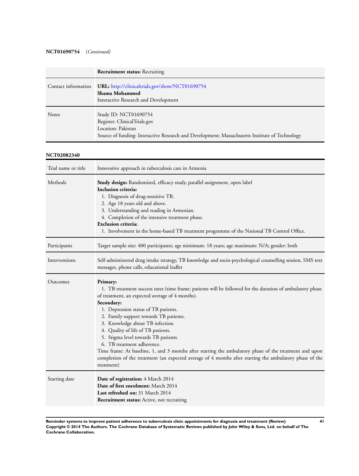# **NCT01690754** (*Continued)*

|                     | <b>Recruitment status:</b> Recruiting                                                                                                                                         |
|---------------------|-------------------------------------------------------------------------------------------------------------------------------------------------------------------------------|
| Contact information | URL: http://clinicaltrials.gov/show/NCT01690754<br>Shama Mohammed<br>Interactive Research and Development                                                                     |
| <b>Notes</b>        | Study ID: NCT01690754<br>Register: ClinicalTrials.gov<br>Location: Pakistan<br>Source of funding: Interactive Research and Development; Massachusetts Institute of Technology |

# **NCT02082340**

| Trial name or title | Innovative approach in tuberculosis care in Armenia                                                                                                                                                                                                                                                                                                                                                                                                                                                                                                                                                                                                         |  |  |  |  |
|---------------------|-------------------------------------------------------------------------------------------------------------------------------------------------------------------------------------------------------------------------------------------------------------------------------------------------------------------------------------------------------------------------------------------------------------------------------------------------------------------------------------------------------------------------------------------------------------------------------------------------------------------------------------------------------------|--|--|--|--|
| Methods             | <b>Study design:</b> Randomized, efficacy study, parallel assignment, open label<br>Inclusion criteria:<br>1. Diagnosis of drug-sensitive TB.<br>2. Age 18 years old and above.<br>3. Understanding and reading in Armenian.<br>4. Completion of the intensive treatment phase.<br><b>Exclusion criteria:</b><br>1. Involvement in the home-based TB treatment programme of the National TB Control Office.                                                                                                                                                                                                                                                 |  |  |  |  |
| Participants        | Target sample size: 400 participants; age minimum: 18 years; age maximum: N/A; gender: both                                                                                                                                                                                                                                                                                                                                                                                                                                                                                                                                                                 |  |  |  |  |
| Interventions       | Self-administered drug intake strategy, TB knowledge and socio-psychological counselling session, SMS text<br>messages, phone calls, educational leaflet                                                                                                                                                                                                                                                                                                                                                                                                                                                                                                    |  |  |  |  |
| Outcomes            | Primary:<br>1. TB treatment success rates (time frame: patients will be followed for the duration of ambulatory phase<br>of treatment, an expected average of 4 months).<br>Secondary:<br>1. Depression status of TB patients.<br>2. Family support towards TB patients.<br>3. Knowledge about TB infection.<br>4. Quality of life of TB patients.<br>5. Stigma level towards TB patients.<br>6. TB treatment adherence.<br>Time frame: At baseline, 1, and 3 months after starting the ambulatory phase of the treatment and upon<br>completion of the treatment (an expected average of 4 months after starting the ambulatory phase of the<br>treatment) |  |  |  |  |
| Starting date       | Date of registration: 4 March 2014<br>Date of first enrolment: March 2014<br>Last refreshed on: 31 March 2014<br><b>Recruitment status:</b> Active, not recruiting                                                                                                                                                                                                                                                                                                                                                                                                                                                                                          |  |  |  |  |

**Reminder systems to improve patient adherence to tuberculosis clinic appointments for diagnosis and treatment (Review) 41 Copyright © 2014 The Authors. The Cochrane Database of Systematic Reviews published by John Wiley & Sons, Ltd. on behalf of The Cochrane Collaboration.**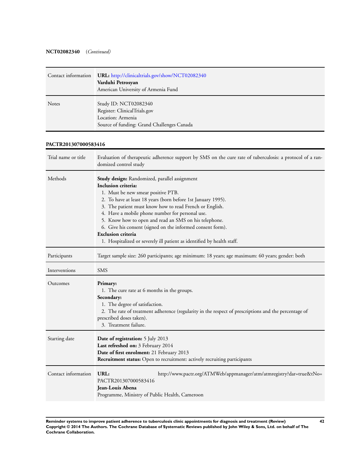# **NCT02082340** (*Continued)*

| Contact information | URL: http://clinicaltrials.gov/show/NCT02082340<br>Varduhi Petrosyan<br>American University of Armenia Fund              |
|---------------------|--------------------------------------------------------------------------------------------------------------------------|
| <b>Notes</b>        | Study ID: NCT02082340<br>Register: ClinicalTrials.gov<br>Location: Armenia<br>Source of funding: Grand Challenges Canada |

# **PACTR201307000583416**

| Trial name or title | Evaluation of therapeutic adherence support by SMS on the cure rate of tuberculosis: a protocol of a ran-<br>domized control study                                                                                                                                                                                                                                                                                                                                                                                     |  |  |  |  |  |
|---------------------|------------------------------------------------------------------------------------------------------------------------------------------------------------------------------------------------------------------------------------------------------------------------------------------------------------------------------------------------------------------------------------------------------------------------------------------------------------------------------------------------------------------------|--|--|--|--|--|
| Methods             | Study design: Randomized, parallel assignment<br>Inclusion criteria:<br>1. Must be new smear positive PTB.<br>2. To have at least 18 years (born before 1st January 1995).<br>3. The patient must know how to read French or English.<br>4. Have a mobile phone number for personal use.<br>5. Know how to open and read an SMS on his telephone.<br>6. Give his consent (signed on the informed consent form).<br><b>Exclusion</b> criteria<br>1. Hospitalized or severely ill patient as identified by health staff. |  |  |  |  |  |
| Participants        | Target sample size: 260 participants; age minimum: 18 years; age maximum: 60 years; gender: both                                                                                                                                                                                                                                                                                                                                                                                                                       |  |  |  |  |  |
| Interventions       | <b>SMS</b>                                                                                                                                                                                                                                                                                                                                                                                                                                                                                                             |  |  |  |  |  |
| Outcomes            | Primary:<br>1. The cure rate at 6 months in the groups.<br>Secondary:<br>1. The degree of satisfaction.<br>2. The rate of treatment adherence (regularity in the respect of prescriptions and the percentage of<br>prescribed doses taken).<br>3. Treatment failure.                                                                                                                                                                                                                                                   |  |  |  |  |  |
| Starting date       | Date of registration: 5 July 2013<br>Last refreshed on: 3 February 2014<br>Date of first enrolment: 21 February 2013<br>Recruitment status: Open to recruitment: actively recruiting participants                                                                                                                                                                                                                                                                                                                      |  |  |  |  |  |
| Contact information | URL:<br>http://www.pactr.org/ATMWeb/appmanager/atm/atmregistry?dar=true&tNo=<br>PACTR201307000583416<br>Jean-Louis Abena<br>Programme, Ministry of Public Health, Cameroon                                                                                                                                                                                                                                                                                                                                             |  |  |  |  |  |

**Reminder systems to improve patient adherence to tuberculosis clinic appointments for diagnosis and treatment (Review) 42 Copyright © 2014 The Authors. The Cochrane Database of Systematic Reviews published by John Wiley & Sons, Ltd. on behalf of The Cochrane Collaboration.**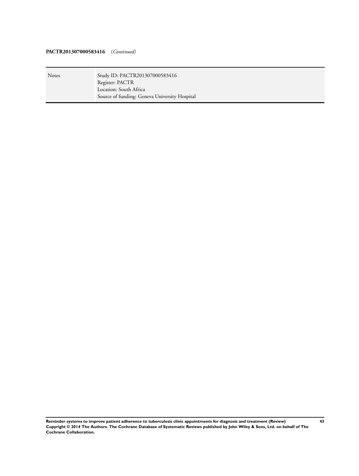# **PACTR201307000583416** (*Continued)*

| Notes | Study ID: PACTR201307000583416                |
|-------|-----------------------------------------------|
|       | Register: PACTR                               |
|       | Location: South Africa                        |
|       | Source of funding: Geneva University Hospital |
|       |                                               |

**Reminder systems to improve patient adherence to tuberculosis clinic appointments for diagnosis and treatment (Review) 43 Copyright © 2014 The Authors. The Cochrane Database of Systematic Reviews published by John Wiley & Sons, Ltd. on behalf of The Cochrane Collaboration.**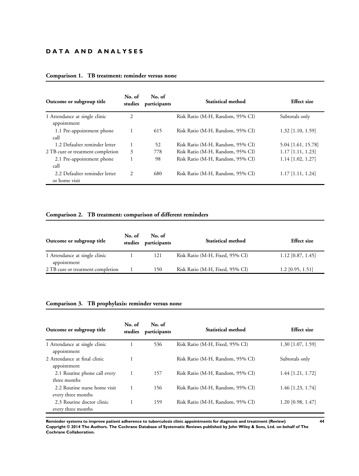# **D A T A A N D A N A L Y S E S**

| Outcome or subgroup title                      | No. of<br>studies | No. of<br>participants | Statistical method               | <b>Effect</b> size  |
|------------------------------------------------|-------------------|------------------------|----------------------------------|---------------------|
| 1 Attendance at single clinic<br>appointment   | $\mathfrak{D}$    |                        | Risk Ratio (M-H, Random, 95% CI) | Subtotals only      |
| 1.1 Pre-appointment phone<br>call              | 1                 | 615                    | Risk Ratio (M-H, Random, 95% CI) | $1.32$ [1.10, 1.59] |
| 1.2 Defaulter reminder letter                  |                   | 52                     | Risk Ratio (M-H, Random, 95% CI) | 5.04 [1.61, 15.78]  |
| 2 TB cure or treatment completion              | 3                 | 778                    | Risk Ratio (M-H, Random, 95% CI) | $1.17$ [1.11, 1.23] |
| 2.1 Pre-appointment phone<br>call              |                   | 98                     | Risk Ratio (M-H, Random, 95% CI) | $1.14$ [1.02, 1.27] |
| 2.2 Defaulter reminder letter<br>or home visit | 2                 | 680                    | Risk Ratio (M-H, Random, 95% CI) | $1.17$ [1.11, 1.24] |

# **Comparison 1. TB treatment: reminder versus none**

# **Comparison 2. TB treatment: comparison of different reminders**

| Outcome or subgroup title                    | No. of | No. of<br>studies participants | <b>Statistical method</b>       | <b>Effect</b> size  |
|----------------------------------------------|--------|--------------------------------|---------------------------------|---------------------|
| 1 Attendance at single clinic<br>appointment |        | 121                            | Risk Ratio (M-H, Fixed, 95% CI) | $1.12$ [0.87, 1.45] |
| 2 TB cure or treatment completion            |        | 150                            | Risk Ratio (M-H, Fixed, 95% CI) | $1.2$ [0.95, 1.51]  |

# **Comparison 3. TB prophylaxis: reminder versus none**

| Outcome or subgroup title                          | No. of<br>studies | No. of<br>participants | Statistical method               | <b>Effect</b> size |
|----------------------------------------------------|-------------------|------------------------|----------------------------------|--------------------|
| 1 Attendance at single clinic<br>appointment       |                   | 536                    | Risk Ratio (M-H, Fixed, 95% CI)  | 1.30 [1.07, 1.59]  |
| 2 Attendance at final clinic<br>appointment        |                   |                        | Risk Ratio (M-H, Random, 95% CI) | Subtotals only     |
| 2.1 Routine phone call every<br>three months       |                   | 157                    | Risk Ratio (M-H, Random, 95% CI) | 1.44 [1.21, 1.72]  |
| 2.2 Routine nurse home visit<br>every three months |                   | 156                    | Risk Ratio (M-H, Random, 95% CI) | 1.46 [1.23, 1.74]  |
| 2.3 Routine doctor clinic<br>every three months    |                   | 159                    | Risk Ratio (M-H, Random, 95% CI) | 1.20 [0.98, 1.47]  |

**Reminder systems to improve patient adherence to tuberculosis clinic appointments for diagnosis and treatment (Review) 44 Copyright © 2014 The Authors. The Cochrane Database of Systematic Reviews published by John Wiley & Sons, Ltd. on behalf of The Cochrane Collaboration.**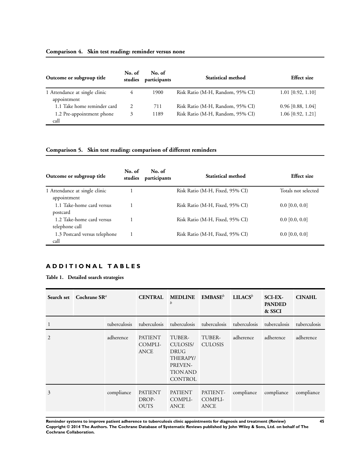# <span id="page-46-0"></span>**Comparison 4. Skin test reading: reminder versus none**

| Outcome or subgroup title                    | No. of<br>studies | No. of<br>participants | Statistical method               | <b>Effect size</b>  |
|----------------------------------------------|-------------------|------------------------|----------------------------------|---------------------|
| 1 Attendance at single clinic<br>appointment | 4                 | 1900                   | Risk Ratio (M-H, Random, 95% CI) | $1.01$ [0.92, 1.10] |
| 1.1 Take home reminder card                  | $\mathfrak{D}$    | 711                    | Risk Ratio (M-H, Random, 95% CI) | $0.96$ [0.88, 1.04] |
| 1.2 Pre-appointment phone<br>call            | 3                 | 1189                   | Risk Ratio (M-H, Random, 95% CI) | $1.06$ [0.92, 1.21] |

# **Comparison 5. Skin test reading: comparison of different reminders**

| Outcome or subgroup title                    | No. of<br>studies | No. of<br>participants | Statistical method              | <b>Effect size</b>  |
|----------------------------------------------|-------------------|------------------------|---------------------------------|---------------------|
| 1 Attendance at single clinic<br>appointment |                   |                        | Risk Ratio (M-H, Fixed, 95% CI) | Totals not selected |
| 1.1 Take-home card versus<br>postcard        |                   |                        | Risk Ratio (M-H, Fixed, 95% CI) | $0.0$ [0.0, 0.0]    |
| 1.2 Take-home card versus<br>telephone call  |                   |                        | Risk Ratio (M-H, Fixed, 95% CI) | $0.0$ [0.0, 0.0]    |
| 1.3 Postcard versus telephone<br>call        |                   |                        | Risk Ratio (M-H, Fixed, 95% CI) | $0.0$ [0.0, 0.0]    |

# **A D D I T I O N A L T A B L E S**

**Table 1. Detailed search strategies**

|   | Search set $\Box$ Cochrane SR <sup>a</sup> |              | <b>CENTRAL</b>                           | <b>MEDLINE</b><br>b                                                                          | $EMBASE^b$                         | <b>LILACS</b> <sup><math>b</math></sup> | <b>SCI-EX-</b><br><b>PANDED</b><br>& SSCI | <b>CINAHL</b> |
|---|--------------------------------------------|--------------|------------------------------------------|----------------------------------------------------------------------------------------------|------------------------------------|-----------------------------------------|-------------------------------------------|---------------|
| 1 |                                            | tuberculosis | tuberculosis                             | tuberculosis tuberculosis                                                                    |                                    | tuberculosis                            | tuberculosis                              | tuberculosis  |
| 2 |                                            | adherence    | <b>PATIENT</b><br>COMPLI-<br><b>ANCE</b> | TUBER-<br>CULOSIS/<br><b>DRUG</b><br>THERAPY/<br>PREVEN-<br><b>TIONAND</b><br><b>CONTROL</b> | TUBER-<br><b>CULOSIS</b>           | adherence                               | adherence                                 | adherence     |
| 3 |                                            | compliance   | PATIENT<br>DROP-<br><b>OUTS</b>          | <b>PATIENT</b><br>COMPLI-<br>ANCE                                                            | PATIENT-<br>COMPLI-<br><b>ANCE</b> | compliance                              | compliance                                | compliance    |

**Reminder systems to improve patient adherence to tuberculosis clinic appointments for diagnosis and treatment (Review) 45 Copyright © 2014 The Authors. The Cochrane Database of Systematic Reviews published by John Wiley & Sons, Ltd. on behalf of The Cochrane Collaboration.**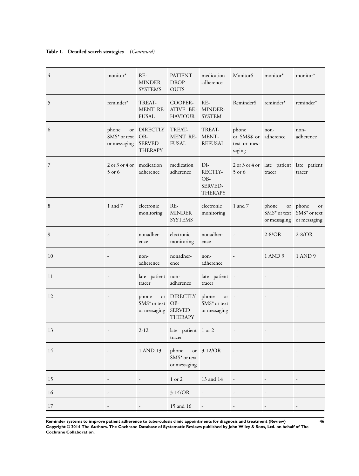# **Table 1. Detailed search strategies** (*Continued)*

| 4  | monitor*                                  | RE-<br><b>MINDER</b><br><b>SYSTEMS</b>                  | <b>PATIENT</b><br>DROP-<br><b>OUTS</b>          | medication<br>adherence                              | Monitor\$                                      | monitor*                                           | monitor*                                                                 |
|----|-------------------------------------------|---------------------------------------------------------|-------------------------------------------------|------------------------------------------------------|------------------------------------------------|----------------------------------------------------|--------------------------------------------------------------------------|
| 5  | reminder*                                 | TREAT-<br><b>MENT RE-</b><br><b>FUSAL</b>               | COOPER-<br>ATIVE BE-<br><b>HAVIOUR</b>          | RE-<br>MINDER-<br><b>SYSTEM</b>                      | Reminder\$                                     | reminder*                                          | reminder*                                                                |
| 6  | phone<br>SMS* or text<br>or messaging     | or DIRECTLY<br>$OB-$<br><b>SERVED</b><br><b>THERAPY</b> | TREAT-<br>MENT RE-<br><b>FUSAL</b>              | TREAT-<br>MENT-<br><b>REFUSAL</b>                    | phone<br>or SMS\$ or<br>text or mes-<br>saging | non-<br>adherence                                  | non-<br>adherence                                                        |
| 7  | $2$ or $3$ or $4$ or medication<br>5 or 6 | adherence                                               | medication<br>adherence                         | DI-<br>RECTLY-<br>$OB-$<br>SERVED-<br><b>THERAPY</b> | 5 or 6                                         | 2 or 3 or 4 or late patient late patient<br>tracer | tracer                                                                   |
| 8  | 1 and 7                                   | electronic<br>monitoring                                | RE-<br><b>MINDER</b><br><b>SYSTEMS</b>          | electronic<br>monitoring                             | 1 and 7                                        | phone                                              | or phone<br>or<br>SMS* or text SMS* or text<br>or messaging or messaging |
| 9  |                                           | nonadher-<br>ence                                       | electronic<br>monitoring                        | nonadher-<br>ence                                    |                                                | $2-8/OR$                                           | $2-8/OR$                                                                 |
| 10 |                                           | non-<br>adherence                                       | nonadher-<br>ence                               | non-<br>adherence                                    |                                                | 1 AND 9                                            | 1 AND 9                                                                  |
| 11 |                                           | late patient non-<br>tracer                             | adherence                                       | late patient -<br>tracer                             |                                                |                                                    |                                                                          |
| 12 |                                           | phone<br>$SMS^*$ or text $OB-$<br>or messaging SERVED   | or DIRECTLY<br><b>THERAPY</b>                   | phone<br>$or -$<br>SMS* or text<br>or messaging      |                                                |                                                    |                                                                          |
| 13 |                                           | $2 - 12$                                                | late patient 1 or 2<br>tracer                   |                                                      |                                                |                                                    |                                                                          |
| 14 |                                           | 1 AND 13                                                | phone<br>$\text{SMS}^*$ or text<br>or messaging | or 3-12/OR                                           |                                                |                                                    |                                                                          |
| 15 | $\frac{1}{2}$                             | $\overline{\phantom{m}}$                                | 1 or 2                                          | 13 and 14                                            | $\overline{\phantom{m}}$                       |                                                    | $\overline{\phantom{m}}$                                                 |
| 16 | $\overline{a}$                            | $\overline{\phantom{a}}$                                | 3-14/OR                                         | $\overline{\phantom{a}}$                             | $\overline{\phantom{m}}$                       | $\overline{\phantom{a}}$                           | $\frac{1}{2}$                                                            |
| 17 |                                           |                                                         | 15 and 16                                       | $\overline{\phantom{a}}$                             |                                                |                                                    |                                                                          |

**Reminder systems to improve patient adherence to tuberculosis clinic appointments for diagnosis and treatment (Review) 46 Copyright © 2014 The Authors. The Cochrane Database of Systematic Reviews published by John Wiley & Sons, Ltd. on behalf of The Cochrane Collaboration.**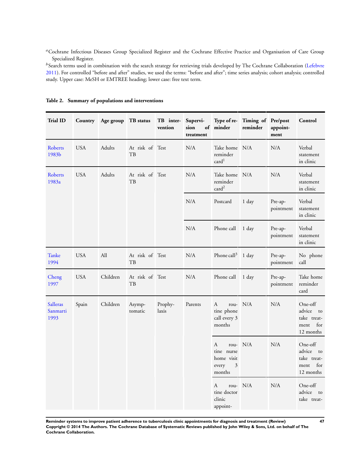<span id="page-48-0"></span><sup>a</sup>Cochrane Infectious Diseases Group Specialized Register and the Cochrane Effective Practice and Organisation of Care Group Specialized Register.

<sup>b</sup>Search terms used in combination with the search strategy for retrieving trials developed by The Cochrane Collaboration ([Lefebvre](#page-21-0) [2011](#page-21-0)). For controlled "before and after" studies, we used the terms: "before and after"; time series analysis; cohort analysis; controlled study. Upper case: MeSH or EMTREE heading; lower case: free text term.

| <b>Trial ID</b>                     |            | Country Age group TB status |                              | TB inter-<br>vention | Supervi-<br>sion<br>of<br>treatment | minder                                         | Type of re- Timing of Pre/post<br>reminder | appoint-<br>ment     | Control                                                            |  |  |                                                                               |          |     |                                                                 |
|-------------------------------------|------------|-----------------------------|------------------------------|----------------------|-------------------------------------|------------------------------------------------|--------------------------------------------|----------------------|--------------------------------------------------------------------|--|--|-------------------------------------------------------------------------------|----------|-----|-----------------------------------------------------------------|
| Roberts<br>1983b                    | <b>USA</b> | Adults                      | At risk of Test<br>ТB        |                      | N/A                                 | Take home N/A<br>reminder<br>card <sup>1</sup> |                                            | N/A                  | Verbal<br>statement<br>in clinic                                   |  |  |                                                                               |          |     |                                                                 |
| Roberts<br>1983a                    | <b>USA</b> | Adults                      | At risk of Test<br><b>TB</b> |                      | $\rm N/A$                           | Take home N/A<br>reminder<br>card <sup>2</sup> |                                            | N/A                  | Verbal<br>statement<br>in clinic                                   |  |  |                                                                               |          |     |                                                                 |
|                                     |            |                             |                              |                      | N/A                                 | Postcard                                       | 1 day                                      | Pre-ap-<br>pointment | Verbal<br>statement<br>in clinic                                   |  |  |                                                                               |          |     |                                                                 |
|                                     |            |                             |                              |                      | N/A                                 | Phone call                                     | 1 day                                      | Pre-ap-<br>pointment | Verbal<br>statement<br>in clinic                                   |  |  |                                                                               |          |     |                                                                 |
| Tanke<br>1994                       | <b>USA</b> | All                         | At risk of Test<br>TB        |                      | $\rm N/A$                           | Phone call <sup>3</sup>                        | 1 day                                      | Pre-ap-<br>pointment | No phone<br>call                                                   |  |  |                                                                               |          |     |                                                                 |
| Cheng<br>1997                       | <b>USA</b> | Children                    | At risk of Test<br>TB        |                      | N/A                                 | Phone call                                     | 1 day                                      | Pre-ap-<br>pointment | Take home<br>reminder<br>card                                      |  |  |                                                                               |          |     |                                                                 |
| <b>Salleras</b><br>Sanmarti<br>1993 | Spain      | Children                    | Asymp-<br>tomatic            | Prophy-<br>laxis     | Parents                             | A<br>tine phone<br>call every 3<br>months      | rou- N/A                                   | N/A                  | One-off<br>advice<br>to<br>take treat-<br>ment<br>for<br>12 months |  |  |                                                                               |          |     |                                                                 |
|                                     |            |                             |                              |                      |                                     |                                                |                                            |                      |                                                                    |  |  | $\mathbf{A}$<br>tine nurse<br>home visit<br>$\mathfrak{Z}$<br>every<br>months | rou- N/A | N/A | One-off<br>advice<br>to<br>take treat-<br>ment for<br>12 months |
|                                     |            |                             |                              |                      |                                     | A<br>tine doctor<br>clinic<br>appoint-         | rou- N/A                                   | N/A                  | One-off<br>advice<br>to<br>take treat-                             |  |  |                                                                               |          |     |                                                                 |

# **Table 2. Summary of populations and interventions**

**Reminder systems to improve patient adherence to tuberculosis clinic appointments for diagnosis and treatment (Review) 47 Copyright © 2014 The Authors. The Cochrane Database of Systematic Reviews published by John Wiley & Sons, Ltd. on behalf of The Cochrane Collaboration.**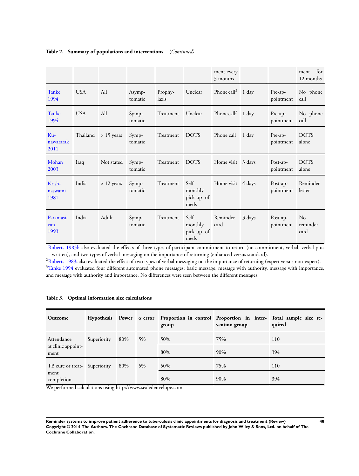# <span id="page-49-0"></span>**Table 2. Summary of populations and interventions** (*Continued)*

|                           |            |              |                   |                  |                                        | ment every<br>3 months        |       |                       | for<br>ment<br>12 months |
|---------------------------|------------|--------------|-------------------|------------------|----------------------------------------|-------------------------------|-------|-----------------------|--------------------------|
| Tanke<br>1994             | <b>USA</b> | All          | Asymp-<br>tomatic | Prophy-<br>laxis | Unclear                                | Phone call <sup>3</sup> 1 day |       | Pre-ap-<br>pointment  | No phone<br>call         |
| Tanke<br>1994             | <b>USA</b> | All          | Symp-<br>tomatic  | Treatment        | Unclear                                | Phone call <sup>3</sup> 1 day |       | Pre-ap-<br>pointment  | No phone<br>call         |
| Ku-<br>nawararak<br>2011  | Thailand   | $> 15$ years | Symp-<br>tomatic  | Treatment        | <b>DOTS</b>                            | Phone call                    | 1 day | Pre-ap-<br>pointment  | <b>DOTS</b><br>alone     |
|                           |            |              |                   |                  |                                        |                               |       |                       |                          |
| Mohan<br>2003             | Iraq       | Not stated   | Symp-<br>tomatic  | Treatment        | <b>DOTS</b>                            | Home visit 3 days             |       | Post-ap-<br>pointment | <b>DOTS</b><br>alone     |
| Krish-<br>naswami<br>1981 | India      | > 12 years   | Symp-<br>tomatic  | Treatment        | Self-<br>monthly<br>pick-up of<br>meds | Home visit 4 days             |       | Post-ap-<br>pointment | Reminder<br>letter       |

<sup>1</sup>[Roberts 1983b](#page-21-0) also evaluated the effects of three types of participant commitment to return (no commitment, verbal, verbal plus written), and two types of verbal messaging on the importance of returning (enhanced versus standard).

<sup>2</sup>[Roberts 1983aa](#page-21-0)lso evaluated the effect of two types of verbal messaging on the importance of returning (expert versus non-expert). <sup>3</sup>[Tanke 1994](#page-21-0) evaluated four different automated phone messages: basic message, message with authority, message with importance, and message with authority and importance. No differences were seen between the different messages.

| Outcome                          |             |     |    | Hypothesis Power $\alpha$ error Proportion in control Proportion in inter- Total sample size re-<br>group | vention group | quired     |
|----------------------------------|-------------|-----|----|-----------------------------------------------------------------------------------------------------------|---------------|------------|
| Attendance<br>at clinic appoint- | Superiority | 80% | 5% | 50%<br>80%                                                                                                | 75%<br>90%    | 110<br>394 |
| ment                             |             |     |    |                                                                                                           |               |            |
| TB cure or treat- Superiority    |             | 80% | 5% | 50%                                                                                                       | 75%           | 110        |
| ment<br>completion               |             |     |    | 80%                                                                                                       | 90%           | 394        |

# **Table 3. Optimal information size calculations**

We performed calculations using http://www.sealedenvelope.com

**Reminder systems to improve patient adherence to tuberculosis clinic appointments for diagnosis and treatment (Review) 48 Copyright © 2014 The Authors. The Cochrane Database of Systematic Reviews published by John Wiley & Sons, Ltd. on behalf of The Cochrane Collaboration.**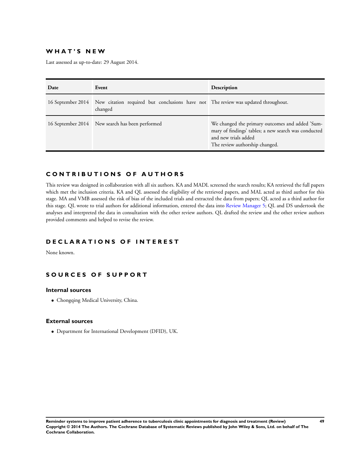# **W H A T ' S N E W**

Last assessed as up-to-date: 29 August 2014.

| Date | Event                                                                                                          | Description                                                                                                                                                       |
|------|----------------------------------------------------------------------------------------------------------------|-------------------------------------------------------------------------------------------------------------------------------------------------------------------|
|      | 16 September 2014 New citation required but conclusions have not The review was updated throughout.<br>changed |                                                                                                                                                                   |
|      | 16 September 2014 New search has been performed                                                                | We changed the primary outcomes and added 'Sum-<br>mary of findings' tables; a new search was conducted<br>and new trials added<br>The review authorship changed. |

# **C O N T R I B U T I O N S O F A U T H O R S**

This review was designed in collaboration with all six authors. KA and MADL screened the search results; KA retrieved the full papers which met the inclusion criteria. KA and QL assessed the eligibility of the retrieved papers, and MAL acted as third author for this stage. MA and VMB assessed the risk of bias of the included trials and extracted the data from papers; QL acted as a third author for this stage. QL wrote to trial authors for additional information, entered the data into [Review Manager 5](#page-21-0); QL and DS undertook the analyses and interpreted the data in consultation with the other review authors. QL drafted the review and the other review authors provided comments and helped to revise the review.

# **D E C L A R A T I O N S O F I N T E R E S T**

None known.

# **S O U R C E S O F S U P P O R T**

## **Internal sources**

• Chongqing Medical University, China.

# **External sources**

• Department for International Development (DFID), UK.